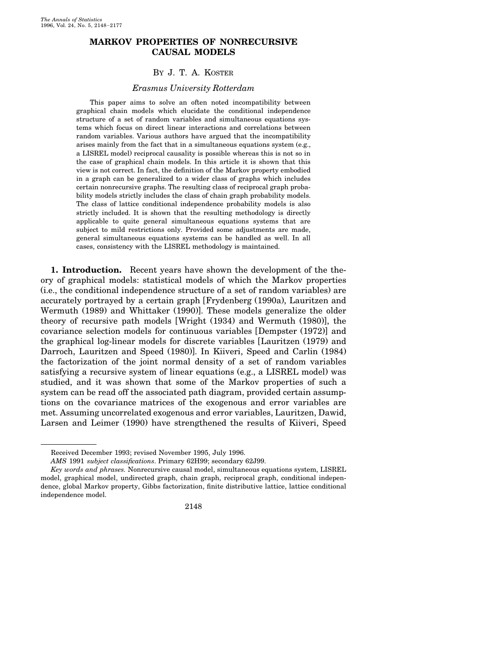# **MARKOV PROPERTIES OF NONRECURSIVE CAUSAL MODELS**

### BY J. T. A. KOSTER

#### *Erasmus University Rotterdam*

This paper aims to solve an often noted incompatibility between graphical chain models which elucidate the conditional independence structure of a set of random variables and simultaneous equations systems which focus on direct linear interactions and correlations between random variables. Various authors have argued that the incompatibility arises mainly from the fact that in a simultaneous equations system (e.g., a LISREL model) reciprocal causality is possible whereas this is not so in the case of graphical chain models. In this article it is shown that this view is not correct. In fact, the definition of the Markov property embodied in a graph can be generalized to a wider class of graphs which includes certain nonrecursive graphs. The resulting class of reciprocal graph probability models strictly includes the class of chain graph probability models. The class of lattice conditional independence probability models is also strictly included. It is shown that the resulting methodology is directly applicable to quite general simultaneous equations systems that are subject to mild restrictions only. Provided some adjustments are made, general simultaneous equations systems can be handled as well. In all cases, consistency with the LISREL methodology is maintained.

**1. Introduction.** Recent years have shown the development of the theory of graphical models: statistical models of which the Markov properties  $(i.e., the conditional independence structure of a set of random variables) are$ accurately portrayed by a certain graph [Frydenberg (1990a), Lauritzen and Wermuth (1989) and Whittaker (1990)]. These models generalize the older theory of recursive path models [Wright  $(1934)$  and Wermuth  $(1980)$ ], the covariance selection models for continuous variables  $[Dempster (1972)]$  and the graphical log-linear models for discrete variables [Lauritzen (1979) and Darroch, Lauritzen and Speed (1980). In Kiiveri, Speed and Carlin (1984). the factorization of the joint normal density of a set of random variables satisfying a recursive system of linear equations (e.g., a LISREL model) was studied, and it was shown that some of the Markov properties of such a system can be read off the associated path diagram, provided certain assumptions on the covariance matrices of the exogenous and error variables are met. Assuming uncorrelated exogenous and error variables, Lauritzen, Dawid, Larsen and Leimer (1990) have strengthened the results of Kiiveri, Speed

*Key words and phrases.* Nonrecursive causal model, simultaneous equations system, LISREL model, graphical model, undirected graph, chain graph, reciprocal graph, conditional independence, global Markov property, Gibbs factorization, finite distributive lattice, lattice conditional independence model.



Received December 1993; revised November 1995, July 1996.

*AMS* 1991 *subject classifications*. Primary 62H99; secondary 62J99.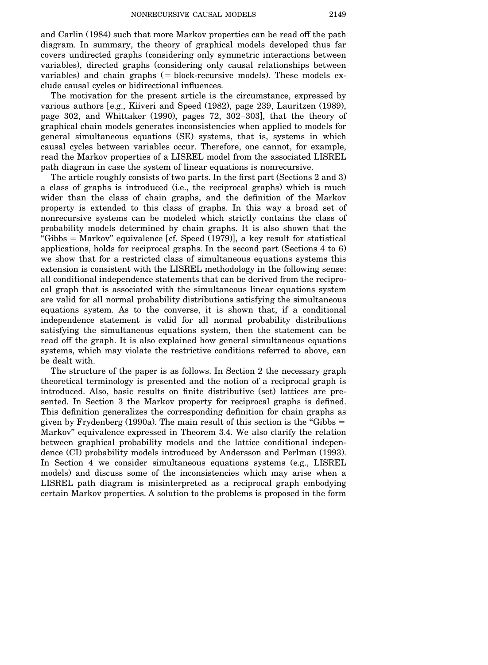and Carlin (1984) such that more Markov properties can be read off the path diagram. In summary, the theory of graphical models developed thus far covers undirected graphs Žconsidering only symmetric interactions between variables), directed graphs (considering only causal relationships between variables) and chain graphs  $($  = block-recursive models). These models exclude causal cycles or bidirectional influences.

The motivation for the present article is the circumstance, expressed by various authors [e.g., Kiiveri and Speed  $(1982)$ , page 239, Lauritzen  $(1989)$ , page 302, and Whittaker  $(1990)$ , pages 72, 302-303], that the theory of graphical chain models generates inconsistencies when applied to models for general simultaneous equations (SE) systems, that is, systems in which causal cycles between variables occur. Therefore, one cannot, for example, read the Markov properties of a LISREL model from the associated LISREL path diagram in case the system of linear equations is nonrecursive.

The article roughly consists of two parts. In the first part (Sections  $2$  and  $3$ ) a class of graphs is introduced (i.e., the reciprocal graphs) which is much wider than the class of chain graphs, and the definition of the Markov property is extended to this class of graphs. In this way a broad set of nonrecursive systems can be modeled which strictly contains the class of probability models determined by chain graphs. It is also shown that the "Gibbs = Markov" equivalence  $[cf. Speed (1979)],$  a key result for statistical applications, holds for reciprocal graphs. In the second part (Sections  $4 \text{ to } 6$ ) we show that for a restricted class of simultaneous equations systems this extension is consistent with the LISREL methodology in the following sense: all conditional independence statements that can be derived from the reciprocal graph that is associated with the simultaneous linear equations system are valid for all normal probability distributions satisfying the simultaneous equations system. As to the converse, it is shown that, if a conditional independence statement is valid for all normal probability distributions satisfying the simultaneous equations system, then the statement can be read off the graph. It is also explained how general simultaneous equations systems, which may violate the restrictive conditions referred to above, can be dealt with.

The structure of the paper is as follows. In Section 2 the necessary graph theoretical terminology is presented and the notion of a reciprocal graph is introduced. Also, basic results on finite distributive (set) lattices are presented. In Section 3 the Markov property for reciprocal graphs is defined. This definition generalizes the corresponding definition for chain graphs as given by Frydenberg  $(1990a)$ . The main result of this section is the "Gibbs  $=$ Markov'' equivalence expressed in Theorem 3.4. We also clarify the relation between graphical probability models and the lattice conditional independence (CI) probability models introduced by Andersson and Perlman (1993). In Section 4 we consider simultaneous equations systems (e.g., LISREL models) and discuss some of the inconsistencies which may arise when a LISREL path diagram is misinterpreted as a reciprocal graph embodying certain Markov properties. A solution to the problems is proposed in the form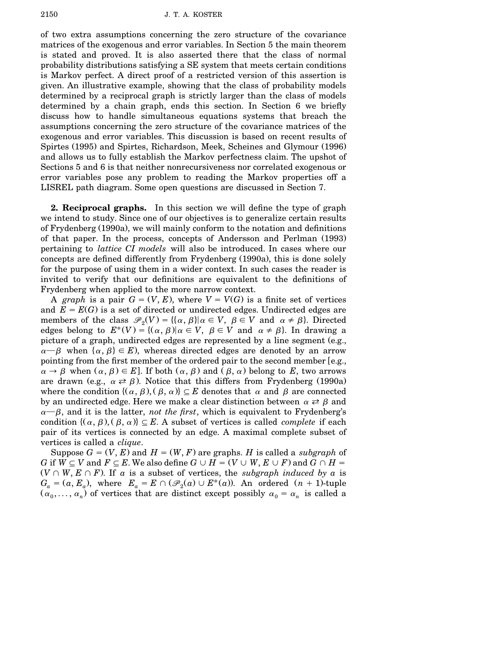of two extra assumptions concerning the zero structure of the covariance matrices of the exogenous and error variables. In Section 5 the main theorem is stated and proved. It is also asserted there that the class of normal probability distributions satisfying a SE system that meets certain conditions is Markov perfect. A direct proof of a restricted version of this assertion is given. An illustrative example, showing that the class of probability models determined by a reciprocal graph is strictly larger than the class of models determined by a chain graph, ends this section. In Section 6 we briefly discuss how to handle simultaneous equations systems that breach the assumptions concerning the zero structure of the covariance matrices of the exogenous and error variables. This discussion is based on recent results of Spirtes (1995) and Spirtes, Richardson, Meek, Scheines and Glymour (1996). and allows us to fully establish the Markov perfectness claim. The upshot of Sections 5 and 6 is that neither nonrecursiveness nor correlated exogenous or error variables pose any problem to reading the Markov properties off a LISREL path diagram. Some open questions are discussed in Section 7.

**2. Reciprocal graphs.** In this section we will define the type of graph we intend to study. Since one of our objectives is to generalize certain results of Frydenberg (1990a), we will mainly conform to the notation and definitions of that paper. In the process, concepts of Andersson and Perlman (1993) pertaining to *lattice CI models* will also be introduced. In cases where our concepts are defined differently from Frydenberg (1990a), this is done solely for the purpose of using them in a wider context. In such cases the reader is invited to verify that our definitions are equivalent to the definitions of Frydenberg when applied to the more narrow context.

A *graph* is a pair  $G = (V, E)$ , where  $V = V(G)$  is a finite set of vertices and  $E = E(G)$  is a set of directed or undirected edges. Undirected edges are members of the class  $\mathcal{P}_2(V) = \{ \{\alpha, \beta\} | \alpha \in V, \beta \in V \text{ and } \alpha \neq \beta \}.$  Directed edges belong to  $E^*(V) = \{(\alpha, \beta) | \alpha \in V, \beta \in V \text{ and } \alpha \neq \beta\}.$  In drawing a picture of a graph, undirected edges are represented by a line segment (e.g.,  $\alpha-\beta$  when  $\{\alpha, \beta\} \in E$ ), whereas directed edges are denoted by an arrow pointing from the first member of the ordered pair to the second member [e.g.,  $\alpha \to \beta$  when  $(\alpha, \beta) \in E$ . If both  $(\alpha, \beta)$  and  $(\beta, \alpha)$  belong to *E*, two arrows are drawn (e.g.,  $\alpha \rightleftharpoons \beta$ ). Notice that this differs from Frydenberg (1990a). where the condition  $\{(\alpha, \beta), (\beta, \alpha)\}\subseteq E$  denotes that  $\alpha$  and  $\beta$  are connected by an undirected edge. Here we make a clear distinction between  $\alpha \rightleftarrows \beta$  and  $\alpha$ — $\beta$ , and it is the latter, *not the first*, which is equivalent to Frydenberg's condition  $\{(\alpha, \beta), (\beta, \alpha)\}\subseteq E$ . A subset of vertices is called *complete* if each pair of its vertices is connected by an edge. A maximal complete subset of vertices is called a *clique*.

Suppose  $G = (V, E)$  and  $H = (W, F)$  are graphs. *H* is called a *subgraph* of *G* if  $W \subseteq V$  and  $F \subseteq E$ . We also define  $G \cup H = (V \cup W, E \cup F)$  and  $G \cap H =$  $(V \cap W, E \cap F)$ . If *a* is a subset of vertices, the *subgraph induced by a* is  $G_a = (a, E_a)$ , where  $E_a = E \cap (\mathscr{P}_2(a) \cup E^*(a))$ . An ordered  $(n + 1)$ -tuple  $(\alpha_0, \ldots, \alpha_n)$  of vertices that are distinct except possibly  $\alpha_0 = \alpha_n$  is called a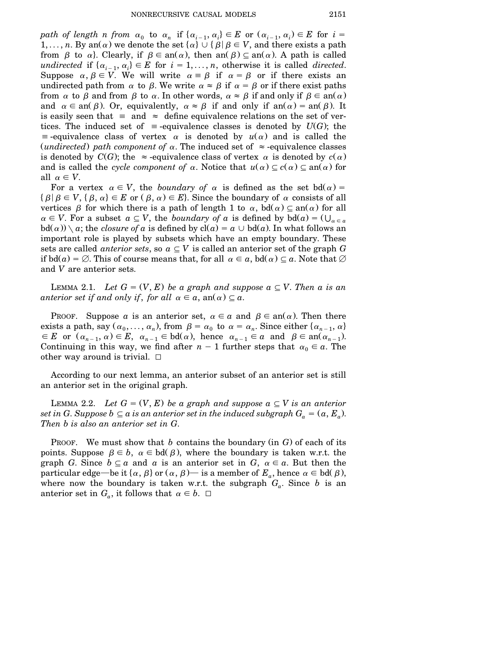*path of length n from*  $\alpha_0$  to  $\alpha_n$  if  $\{\alpha_{i-1}, \alpha_i\} \in E$  or  $(\alpha_{i-1}, \alpha_i) \in E$  for  $i =$ 1,..., *n*. By an( $\alpha$ ) we denote the set  $\{\alpha\} \cup \{\beta | \beta \in V$ , and there exists a path from  $\beta$  to  $\alpha$ . Clearly, if  $\beta \in \text{an}(\alpha)$ , then an $(\beta) \subseteq \text{an}(\alpha)$ . A path is called *undirected* if  $\{\alpha_{i-1}, \alpha_i\} \in E$  for  $i = 1, \ldots, n$ , otherwise it is called *directed*. Suppose  $\alpha, \beta \in V$ . We will write  $\alpha = \beta$  if  $\alpha = \beta$  or if there exists an undirected path from  $\alpha$  to  $\beta$ . We write  $\alpha \approx \beta$  if  $\alpha = \beta$  or if there exist paths from  $\alpha$  to  $\beta$  and from  $\beta$  to  $\alpha$ . In other words,  $\alpha \approx \beta$  if and only if  $\beta \in \text{an}(\alpha)$ . and  $\alpha \in \text{an}(\beta)$ . Or, equivalently,  $\alpha \approx \beta$  if and only if  $\text{an}(\alpha) = \text{an}(\beta)$ . It is easily seen that  $\equiv$  and  $\approx$  define equivalence relations on the set of vertices. The induced set of  $\equiv$ -equivalence classes is denoted by  $U(G)$ ; the  $\equiv$ -equivalence class of vertex  $\alpha$  is denoted by  $u(\alpha)$  and is called the (*undirected*) path *component* of  $\alpha$ . The induced set of  $\approx$  -equivalence classes is denoted by  $C(G)$ ; the  $\approx$ -equivalence class of vertex  $\alpha$  is denoted by  $c(\alpha)$ . and is called the *cycle component* of  $\alpha$ . Notice that  $u(\alpha) \subseteq c(\alpha) \subseteq an(\alpha)$  for all  $\alpha \in V$ .

For a vertex  $\alpha \in V$ , the *boundary* of  $\alpha$  is defined as the set bd( $\alpha$ ) =  $\{\beta | \beta \in V, \{\beta, \alpha\} \in E \text{ or } (\beta, \alpha) \in E\}.$  Since the boundary of  $\alpha$  consists of all vertices  $\beta$  for which there is a path of length 1 to  $\alpha$ , bd $(\alpha) \subseteq \text{an}(\alpha)$  for all  $\alpha \in V$ . For a subset  $a \subseteq V$ , the *boundary* of *a* is defined by bd $(a) = (\bigcup_{\alpha \in a} a \alpha)$  $\text{bd}(\alpha)$ ) \ a; the *closure* of a is defined by  $\text{cl}(a) = a \cup \text{bd}(a)$ . In what follows an important role is played by subsets which have an empty boundary. These sets are called *anterior sets*, so  $a \subseteq V$  is called an anterior set of the graph G if  $\text{bd}(a) = \emptyset$ . This of course means that, for all  $\alpha \in \alpha$ ,  $\text{bd}(\alpha) \subseteq \alpha$ . Note that  $\emptyset$ and *V* are anterior sets.

LEMMA 2.1. Let  $G = (V, E)$  be a graph and suppose  $a \subseteq V$ . Then a is an *anterior set if and only if*, *for all*  $\alpha \in \alpha$ ,  $an(\alpha) \subseteq \alpha$ .

PROOF. Suppose *a* is an anterior set,  $\alpha \in a$  and  $\beta \in \text{an}(\alpha)$ . Then there exists a path, say  $(\alpha_0, ..., \alpha_n)$ , from  $\beta = \alpha_0$  to  $\alpha = \alpha_n$ . Since either  $\{\alpha_{n-1}, \alpha\} \in E$  or  $(\alpha_{n-1}, \alpha) \in E$ ,  $\alpha_{n-1} \in \text{bd}(\alpha)$ , hence  $\alpha_{n-1} \in \alpha$  and  $\beta \in \text{an}(\alpha_{n-1})$ . Continuing in this way, we find after  $n-1$  further steps that  $\alpha_0 \in \alpha$ . The other way around is trivial.  $\square$ 

According to our next lemma, an anterior subset of an anterior set is still an anterior set in the original graph.

LEMMA 2.2. Let  $G = (V, E)$  be a graph and suppose  $a \subseteq V$  is an anterior  $s$ *et* in  $G$ . Suppose  $b \subseteq a$  is an anterior set in the induced subgraph  $G_a = (a, E_a)$ . *Then b is also an anterior set in G*.

PROOF. We must show that *b* contains the boundary (in  $G$ ) of each of its points. Suppose  $\beta \in b$ ,  $\alpha \in \text{bd}(\beta)$ , where the boundary is taken w.r.t. the graph *G*. Since  $b \subseteq a$  and *a* is an anterior set in *G*,  $a \in a$ . But then the particular edge—be it { $\alpha$ ,  $\beta$ } or ( $\alpha$ ,  $\beta$ )— is a member of  $E_{\alpha}$ , hence  $\alpha \in \text{bd}(\beta)$ , where now the boundary is taken w.r.t. the subgraph  $G_a$ . Since *b* is an anterior set in  $G_a$ , it follows that  $\alpha \in b$ .  $\Box$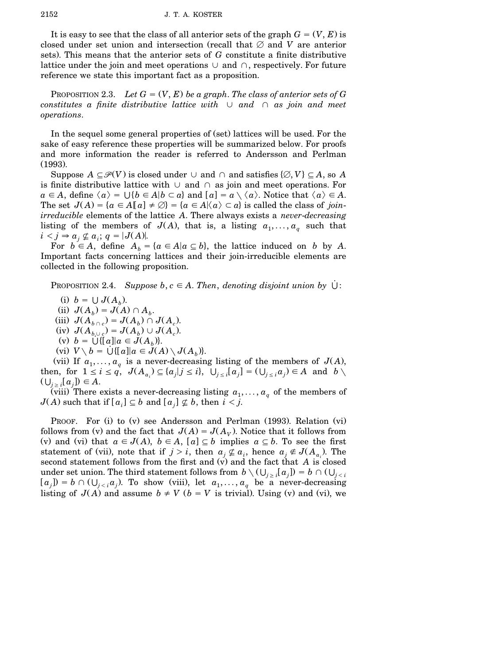It is easy to see that the class of all anterior sets of the graph  $G = (V, E)$  is closed under set union and intersection (recall that  $\varnothing$  and *V* are anterior sets). This means that the anterior sets of G constitute a finite distributive lattice under the join and meet operations  $\cup$  and  $\cap$ , respectively. For future reference we state this important fact as a proposition.

PROPOSITION 2.3. Let  $G = (V, E)$  be a graph. The class of anterior sets of G *constitutes a finite distributive lattice with*  $\cup$  *and*  $\cap$  *as join and meet operations*.

In the sequel some general properties of (set) lattices will be used. For the sake of easy reference these properties will be summarized below. For proofs and more information the reader is referred to Andersson and Perlman  $(1993).$ 

Suppose  $A \subseteq \mathcal{P}(V)$  is closed under  $\cup$  and  $\cap$  and satisfies  $\{\emptyset, V\} \subseteq A$ , so *A* is finite distributive lattice with  $\cup$  and  $\cap$  as join and meet operations. For  $a \in A$ , define  $\langle a \rangle = \bigcup \{b \in A | b \subset a\}$  and  $[a] = a \setminus \langle a \rangle$ . Notice that  $\langle a \rangle \in A$ . The set  $J(A) = \{a \in A | [a] \neq \emptyset\} = \{a \in A | \langle a \rangle \subset a\}$  is called the class of *joinirreducible* elements of the lattice *A*. There always exists a *never*-*decreasing* listing of the members of  $J(A)$ , that is, a listing  $a_1, \ldots, a_q$  such that  $i < j \Rightarrow a_j \nsubseteq a_i$ ;  $q = |J(A)|$ .

For  $b \in A$ , define  $A_b = \{a \in A | a \subseteq b\}$ , the lattice induced on *b* by *A*. Important facts concerning lattices and their join-irreducible elements are collected in the following proposition.

**PROPOSITION 2.4.** *Suppose*  $b, c \in A$ . *Then, denoting disjoint union* by  $\cup$ :

- (i)  $b = \bigcup J(A_b)$ .
- $J(A_b) = J(A) \cap A_b$ .
- $J(A_b \cap c) = J(A_b) \cap J(A_c)$ .
- $J(A_{b\cup c}) = J(A_{b\cup c}) = J(A_{c}) \cup J(A_{c}).$
- (v)  $b = \bigcup \{ [a] | a \in J(A_b) \}.$
- $V \setminus b = \bigcup \{ [a] | a \in J(A) \setminus J(A_b) \}.$

(vii) If  $a_1, \ldots, a_q$  is a never-decreasing listing of the members of  $J(A)$ , then, for  $1 \le i \le q$ ,  $J(A_{a_i}) \subseteq \{a_j | j \le i\}$ ,  $\bigcup_{j \le i} [a_j] = (\bigcup_{j \le i} a_j) \in A$  and  $b \setminus a_j$  $(\bigcup_{j\geq i} [a_j]) \in A.$ 

(viii) There exists a never-decreasing listing  $a_1, \ldots, a_q$  of the members of  $J(A)$  such that if  $[a_i] \subseteq b$  and  $[a_j] \nsubseteq b$ , then  $i < j$ .

PROOF. For (i) to (v) see Andersson and Perlman (1993). Relation (vi). follows from (v) and the fact that  $J(A) = J(A_V)$ . Notice that it follows from (v) and (vi) that  $a \in J(A)$ ,  $b \in A$ ,  $[a] \subseteq b$  implies  $a \subseteq b$ . To see the first statement of (vii), note that if  $j > i$ , then  $a_j \notin a_i$ , hence  $a_j \notin J(A_{a_i})$ . The second statement follows from the first and  $\overline{v}$  and the fact that *A* is closed under set union. The third statement follows from  $b \setminus (\bigcup_{j \geq i} [a_j]) = b \cap (\bigcup_{j < i} [a_j])$  $[a_j] = b \cap (\bigcup_{j < i} a_j)$ . To show (viii), let  $a_1, \ldots, a_q$  be a never-decreasing listing of  $J(A)$  and assume  $b \neq V$  ( $b = V$  is trivial). Using (v) and (vi), we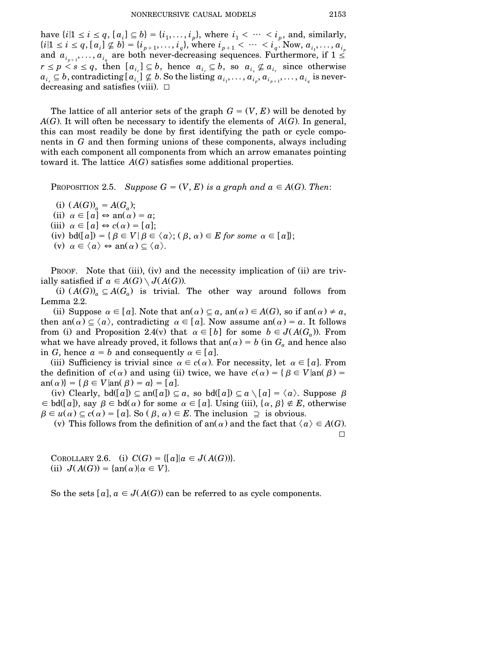have  $\{i | 1 \le i \le q, [a_i] \subseteq b\} = \{i_1, \ldots, i_p\}$ , where  $i_1 < \cdots < i_p$ , and, similarly,  $\{i|1 \le i \le q, [a_i] \not\subseteq b\} = \{i_{p+1}, \ldots, i_q\}$ , where  $i_{p+1} < \cdots < i_q$ . Now,  $a_{i_1}, \ldots, a_{i_p}$ and  $a_{i_{p+1}}, \ldots, a_{i_q}$  are both never-decreasing sequences. Furthermore, if  $1 \leq$  $r \leq p < s \leq q$ , then  $[a_{i_r}] \subseteq b$ , hence  $a_{i_r} \subseteq b$ , so  $a_{i_s} \nsubseteq a_{i_r}$  since otherwise  $a_{i_s} \subseteq b$ , contradicting  $[a_{i_s}] \nsubseteq b$ . So the listing  $a_{i_1}, \ldots, a_{i_p}, a_{i_{p+1}}, \ldots, a_{i_q}$  is neverdecreasing and satisfies (viii).  $\Box$ 

The lattice of all anterior sets of the graph  $G = (V, E)$  will be denoted by  $A$ <sup> $G$ </sup>). It will often be necessary to identify the elements of  $A$  $G$ ). In general, this can most readily be done by first identifying the path or cycle components in *G* and then forming unions of these components, always including with each component all components from which an arrow emanates pointing toward it. The lattice  $A(G)$  satisfies some additional properties.

PROPOSITION 2.5. *Suppose*  $G = (V, E)$  *is a graph and*  $a \in A(G)$ . *Then*:

(i)  $(A(G))_a = A(G_a);$ (ii)  $\alpha \in [a] \Leftrightarrow \text{an}(\alpha) = a;$  $(iii)$   $\alpha \in [a] \Leftrightarrow c(\alpha) = [a]$ ;  $(iv) \text{ bd}([a]) = \{ \beta \in V \mid \beta \in \langle a \rangle; (\beta, \alpha) \in E \text{ for some } \alpha \in [a] \};$ (v)  $\alpha \in \langle a \rangle \Leftrightarrow \text{an}(\alpha) \subset \langle a \rangle$ .

PROOF. Note that (iii), (iv) and the necessity implication of (ii) are trivially satisfied if  $a \in A(G) \setminus J(A(G))$ .

(i)  $(A(G))_a \subseteq A(G_a)$  is trivial. The other way around follows from Lemma 2.2.

(ii) Suppose  $\alpha \in [a]$ . Note that an $(\alpha) \subseteq a$ , an $(\alpha) \in A(G)$ , so if an $(\alpha) \neq a$ , then an $(\alpha) \subseteq \langle \alpha \rangle$ , contradicting  $\alpha \in [a]$ . Now assume an $(\alpha) = a$ . It follows from (i) and Proposition 2.4(v) that  $\alpha \in [b]$  for some  $b \in J(A(G_a))$ . From what we have already proved, it follows that an( $\alpha$ ) = b (in  $G_a$  and hence also in *G*, hence  $a = b$  and consequently  $\alpha \in [a]$ .

(iii) Sufficiency is trivial since  $\alpha \in c(\alpha)$ . For necessity, let  $\alpha \in [a]$ . From the definition of  $c(\alpha)$  and using (ii) twice, we have  $c(\alpha) = \{ \beta \in V | \text{an}(\beta) = \alpha \}$  $\{a(n) \} = \{ \beta \in V | \text{an}(\beta) = a \} = [a].$ 

(iv) Clearly,  $\text{bd}([a]) \subseteq \text{an}([a]) \subseteq a$ , so  $\text{bd}([a]) \subseteq a \setminus [a] = \langle a \rangle$ . Suppose  $\beta$  $\epsilon \in \text{bd}([a]),$  say  $\beta \in \text{bd}(\alpha)$  for some  $\alpha \in [a]$ . Using (iii),  $\{\alpha, \beta\} \notin E$ , otherwise  $\beta \in u(\alpha) \subseteq c(\alpha) = [a]$ . So  $(\beta, \alpha) \in E$ . The inclusion  $\supseteq$  is obvious.

(v) This follows from the definition of an( $\alpha$ ) and the fact that  $\langle \alpha \rangle \in A(G)$ .  $\Box$ 

COROLLARY 2.6. (i)  $C(G) = \{ [a] | a \in J(A(G)) \}.$ (ii)  $J(A(G)) = \{ \text{an}(\alpha) | \alpha \in V \}.$ 

So the sets  $[a]$ ,  $a \in J(A(G))$  can be referred to as cycle components.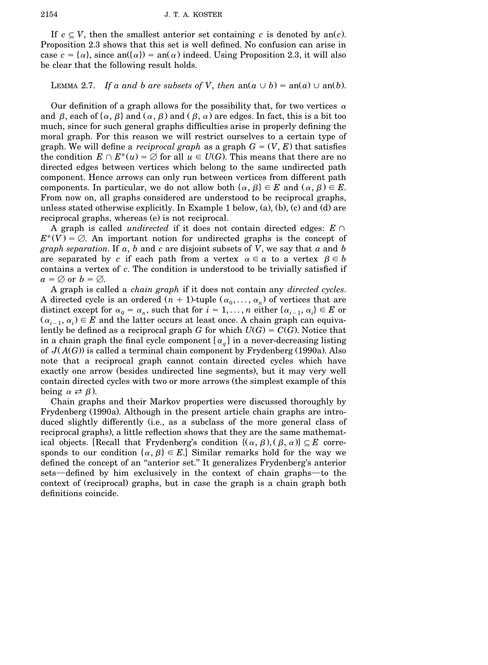If  $c \subset V$ , then the smallest anterior set containing c is denoted by an(c). Proposition 2.3 shows that this set is well defined. No confusion can arise in case  $c = {\alpha}$ , since an $({\alpha}) = {\alpha}$  indeed. Using Proposition 2.3, it will also be clear that the following result holds.

## LEMMA 2.7. *If a and b are subsets of V*, *then*  $an(a \cup b) = an(a) \cup an(b)$ .

Our definition of a graph allows for the possibility that, for two vertices  $\alpha$ and  $\beta$ , each of  $\{\alpha, \beta\}$  and  $(\alpha, \beta)$  and  $(\beta, \alpha)$  are edges. In fact, this is a bit too much, since for such general graphs difficulties arise in properly defining the moral graph. For this reason we will restrict ourselves to a certain type of graph. We will define a *reciprocal graph* as a graph  $G = (V, E)$  that satisfies the condition  $E \cap E^*(u) = \emptyset$  for all  $u \in U(G)$ . This means that there are no directed edges between vertices which belong to the same undirected path component. Hence arrows can only run between vertices from different path components. In particular, we do not allow both  $\{\alpha, \beta\} \in E$  and  $(\alpha, \beta) \in E$ . From now on, all graphs considered are understood to be reciprocal graphs, unless stated otherwise explicitly. In Example 1 below,  $(a)$ ,  $(b)$ ,  $(c)$  and  $(d)$  are reciprocal graphs, whereas (e) is not reciprocal.

A graph is called *undirected* if it does not contain directed edges:  $E \cap E^*(V) = \emptyset$ . An important notion for undirected graphs is the concept of *graph separation*. If *a*, *b* and *c* are disjoint subsets of *V*, we say that *a* and *b* are separated by c if each path from a vertex  $\alpha \in \alpha$  to a vertex  $\beta \in b$ contains a vertex of *c*. The condition is understood to be trivially satisfied if  $a = \emptyset$  or  $b = \emptyset$ .

A graph is called a *chain graph* if it does not contain any *directed cycles*. A directed cycle is an ordered  $(n + 1)$ -tuple  $(\alpha_0, \ldots, \alpha_n)$  of vertices that are distinct except for  $\alpha_0 = \alpha_n$ , such that for  $i = 1, \ldots, n$  either  $\{\alpha_{i-1}, \alpha_i\} \in E$  or  $(\alpha_{i-1}, \alpha_i) \in E$  and the latter occurs at least once. A chain graph can equivalently be defined as a reciprocal graph *G* for which  $U(G) = C(G)$ . Notice that in a chain graph the final cycle component  $[a_q]$  in a never-decreasing listing of  $J(A(G))$  is called a terminal chain component by Frydenberg (1990a). Also note that a reciprocal graph cannot contain directed cycles which have exactly one arrow (besides undirected line segments), but it may very well contain directed cycles with two or more arrows (the simplest example of this being  $\alpha \rightleftarrows \beta$ ).

Chain graphs and their Markov properties were discussed thoroughly by Frydenberg (1990a). Although in the present article chain graphs are introduced slightly differently (i.e., as a subclass of the more general class of reciprocal graphs), a little reflection shows that they are the same mathematical objects. [Recall that Frydenberg's condition  $\{(\alpha, \beta), (\beta, \alpha)\}\subseteq E$  corresponds to our condition  $\{\alpha, \beta\} \in E$ . Similar remarks hold for the way we defined the concept of an ''anterior set.'' It generalizes Frydenberg's anterior sets—defined by him exclusively in the context of chain graphs—to the context of (reciprocal) graphs, but in case the graph is a chain graph both definitions coincide.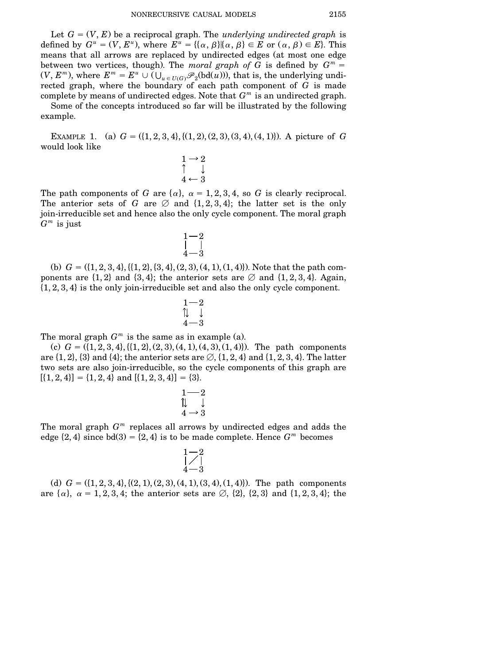Let  $G = (V, E)$  be a reciprocal graph. The *underlying undirected graph* is defined by  $G^u = (V, E^u)$ , where  $E^u = {\alpha, \beta} | {\alpha, \beta} \in E$  or  $(\alpha, \beta) \in E$ . This means that all arrows are replaced by undirected edges (at most one edge between two vertices, though). The *moral graph of*  $G$  is defined by  $G^m =$  $(V, E^m)$ , where  $E^m = E^u \cup (\bigcup_{u \in U(G)} \mathscr{P}_2(\text{bd}(u)))$ , that is, the underlying undirected graph, where the boundary of each path component of *G* is made complete by means of undirected edges. Note that *G <sup>m</sup>* is an undirected graph.

Some of the concepts introduced so far will be illustrated by the following example.

EXAMPLE 1. (a)  $G = (\{1, 2, 3, 4\}, \{(1, 2), (2, 3), (3, 4), (4, 1)\})$ . A picture of *G* would look like

$$
\begin{array}{c}\n1 \rightarrow 2 \\
\uparrow \quad \downarrow \\
4 \leftarrow 3\n\end{array}
$$

The path components of *G* are  $\{\alpha\}$ ,  $\alpha = 1, 2, 3, 4$ , so *G* is clearly reciprocal. The anterior sets of *G* are  $\varnothing$  and  $\{1,2,3,4\}$ ; the latter set is the only join-irreducible set and hence also the only cycle component. The moral graph *G <sup>m</sup>* is just

$$
\begin{array}{c} 1-2 \\ | \\ 4-3 \end{array}
$$

(b)  $G = (\{1, 2, 3, 4\}, \{(1, 2), \{3, 4\}, (2, 3), (4, 1), (1, 4)\})$ . Note that the path components are  $\{1,2\}$  and  $\{3,4\}$ ; the anterior sets are  $\emptyset$  and  $\{1,2,3,4\}$ . Again,  $\{1,2,3,4\}$  is the only join-irreducible set and also the only cycle component.

$$
\begin{array}{c}1-2\\7\\4-3\end{array}
$$

The moral graph  $G<sup>m</sup>$  is the same as in example (a).

(c)  $G = (\{1, 2, 3, 4\}, \{(1, 2), (2, 3), (4, 1), (4, 3), (1, 4)\})$ . The path components are  $\{1, 2\}$ ,  $\{3\}$  and  $\{4\}$ ; the anterior sets are  $\emptyset$ ,  $\{1, 2, 4\}$  and  $\{1, 2, 3, 4\}$ . The latter two sets are also join-irreducible, so the cycle components of this graph are  $[\{1,2,4\}] = \{1,2,4\}$  and  $[\{1,2,3,4\}] = \{3\}.$ 

$$
\begin{array}{c}1 \overline{---2} \\ 1 \overline{---3} \\ 4 \rightarrow 3 \end{array}
$$

The moral graph  $G<sup>m</sup>$  replaces all arrows by undirected edges and adds the edge  $\{2, 4\}$  since  $\text{bd}(3) = \{2, 4\}$  is to be made complete. Hence  $G^m$  becomes

$$
\begin{array}{c} 1 - 2 \\[-4pt] -2 \\[-4pt] 4 - 3 \end{array}
$$

(d)  $G = (\{1, 2, 3, 4\}, \{(2, 1), (2, 3), (4, 1), (3, 4), (1, 4)\})$ . The path components are  $\{\alpha\}, \alpha = 1,2,3,4$ ; the anterior sets are  $\emptyset$ ,  $\{2\}, \{2,3\}$  and  $\{1,2,3,4\}$ ; the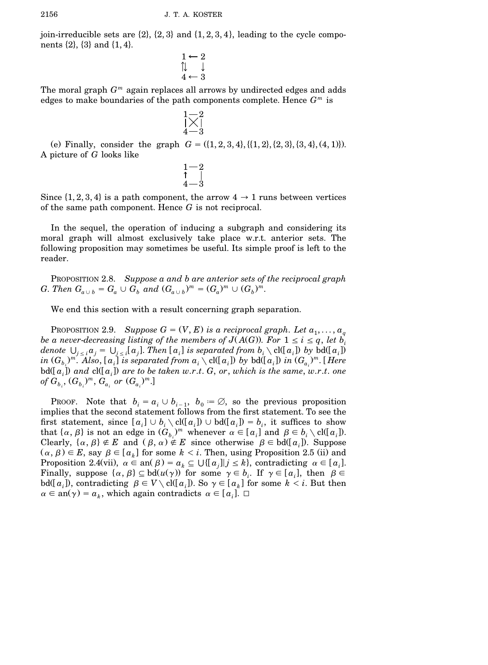join-irreducible sets are  $\{2\}$ ,  $\{2,3\}$  and  $\{1,2,3,4\}$ , leading to the cycle components  $\{2\}, \{3\}$  and  $\{1, 4\}.$ 

$$
\begin{array}{c}\n1 \leftarrow 2 \\
\updownarrow \quad \downarrow \\
4 \leftarrow 3\n\end{array}
$$

The moral graph *G <sup>m</sup>* again replaces all arrows by undirected edges and adds edges to make boundaries of the path components complete. Hence *G <sup>m</sup>* is

$$
\begin{array}{c} 1-\!2 \\[-1mm] \times \! \, 1 \\[-1mm] \scriptstyle 4-\mathrm{3} \end{array}
$$

(e) Finally, consider the graph  $G = (\{1,2,3,4\}, \{(1,2), \{2,3\}, \{3,4\}, (4,1)\}).$ A picture of *G* looks like

> $1 - 2$  $_{4-3}$

Since  $\{1,2,3,4\}$  is a path component, the arrow  $4 \rightarrow 1$  runs between vertices of the same path component. Hence *G* is not reciprocal.

In the sequel, the operation of inducing a subgraph and considering its moral graph will almost exclusively take place w.r.t. anterior sets. The following proposition may sometimes be useful. Its simple proof is left to the reader.

PROPOSITION 2.8. *Suppose a and b are anterior sets of the reciprocal graph G*. Then  $G_{a \cup b} = G_a \cup G_b$  and  $(G_{a \cup b})^m = (G_a)^m \cup (G_b)^m$ .

We end this section with a result concerning graph separation.

PROPOSITION 2.9. *Suppose*  $G = (V, E)$  *is a reciprocal graph. Let*  $a_1, \ldots, a_q$ *be a never*-*decreasing listing of the members of*  $J(A(G))$ . For  $1 \le i \le q$ , *let*  $b_i$ denote  $\bigcup_{j\, \leq\, i} a_j = \bigcup_{j\, \leq\, i} [\,a_j].$  Then  $[\,a_i]\,$  is separated from  $b_i\setminus {\rm cl}([\,a_i])$  by  ${\rm bd}([\,a_i])$ in  $(G_{b_i})^m$ . Also,  $[a_i]$  is separated from  $a_i\setminus$  cl([ $a_i$ ]) by bd([ $a_i$ ]) in  $(G_{a_i})^m$ . [Here bd([ $a_i$ ]) and cl([ $a_i$ ]) are to be taken w.r.t. G, or, which is the same, w.r.t. one  $\delta_{\sigma_{b_i}}, (G_{b_i})^m, G_{a_i}$  or  $(G_{a_i})^m$ .]

PROOF. Note that  $b_i = a_i \cup b_{i-1}$ ,  $b_0 = \emptyset$ , so the previous proposition implies that the second statement follows from the first statement. To see the first statement, since  $[a_i] \cup b_i \setminus \text{cl}([a_i]) \cup \text{bd}([a_i]) = b_i$ , it suffices to show that  $\{\alpha, \beta\}$  is not an edge in  $(G_{b_i})^m$  whenever  $\alpha \in [a_i]$  and  $\beta \in b_i \setminus \text{cl}([a_i])$ . Clearly,  $\{\alpha, \beta\} \notin E$  and  $(\beta, \alpha) \notin E$  since otherwise  $\beta \in \text{bd}([a_i])$ . Suppose  $(\alpha, \beta) \in E$ , say  $\beta \in [a_k]$  for some  $k < i$ . Then, using Proposition 2.5 (ii) and Proposition 2.4(vii),  $\alpha \in \text{an}(\beta) = a_k \subseteq \bigcup \{ [a_j] \mid j \leq k \}$ , contradicting  $\alpha \in [a_i]$ . Finally, suppose  $\{\alpha, \beta\} \subseteq bd(u(\gamma))$  for some  $\gamma \in b_i$ . If  $\gamma \in [a_i]$ , then  $\beta \in$  $\text{bd}([a_i])$ , contradicting  $\beta \in V \setminus \text{cl}([a_i])$ . So  $\gamma \in [a_k]$  for some  $k < i$ . But then  $\alpha \in \text{an}(\gamma) = a_k$ , which again contradicts  $\alpha \in [a_i]$ .  $\Box$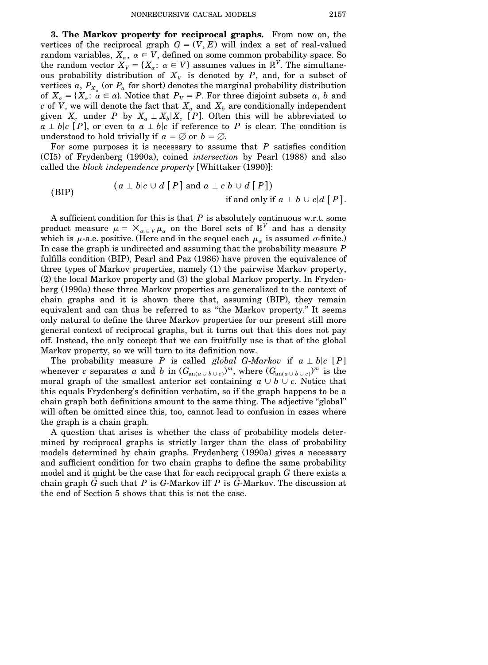**3. The Markov property for reciprocal graphs.** From now on, the vertices of the reciprocal graph  $G = (V, E)$  will index a set of real-valued random variables,  $X_\alpha, \ \alpha \in V,$  defined on some common probability space. So the random vector  $X_V = \{X_\alpha : \alpha \in V\}$  assumes values in  $\mathbb{R}^V$ . The simultaneous probability distribution of  $X_V$  is denoted by *P*, and, for a subset of vertices  $a, P_{X_a}$  (or  $P_a$  for short) denotes the marginal probability distribution of  $X_a = \{X_a: \alpha \in a\}$ . Notice that  $P_V = P$ . For three disjoint subsets a, b and  $c$  of  $V$ , we will denote the fact that  $X_a$  and  $X_b$  are conditionally independent given  $X_c$  under  $P$  by  $X_a \perp X_b | X_c$  [ $P$ ]. Often this will be abbreviated to  $a \perp b \mid c \mid P$ , or even to  $a \perp b \mid c$  if reference to *P* is clear. The condition is understood to hold trivially if  $a = \emptyset$  or  $b = \emptyset$ .

For some purposes it is necessary to assume that *P* satisfies condition ŽCI5. of Frydenberg Ž1990a., coined *intersection* by Pearl Ž1988. and also called the *block independence property* [Whittaker (1990)]:

(BIP) 
$$
(a \perp b|c \cup d [P] \text{ and } a \perp c|b \cup d [P])
$$
  
if and only if  $a \perp b \cup c|d [P]$ .

A sufficient condition for this is that *P* is absolutely continuous w.r.t. some product measure  $\mu = \times_{\alpha \in V} \mu_{\alpha}$  on the Borel sets of  $\mathbb{R}^V$  and has a density which is  $\mu$ -a.e. positive. (Here and in the sequel each  $\mu_{\alpha}$  is assumed  $\sigma$ -finite.) In case the graph is undirected and assuming that the probability measure *P* fulfills condition  $(BIP)$ , Pearl and Paz  $(1986)$  have proven the equivalence of three types of Markov properties, namely (1) the pairwise Markov property,  $(2)$  the local Markov property and  $(3)$  the global Markov property. In Frydenberg (1990a) these three Markov properties are generalized to the context of chain graphs and it is shown there that, assuming (BIP), they remain equivalent and can thus be referred to as ''the Markov property.'' It seems only natural to define the three Markov properties for our present still more general context of reciprocal graphs, but it turns out that this does not pay off. Instead, the only concept that we can fruitfully use is that of the global Markov property, so we will turn to its definition now.

The probability measure *P* is called *global G-Markov* if  $a \perp b | c [P]$ whenever *c* separates *a* and *b* in  $(G_{\text{an}(a\cup b\cup c)})^m$ , where  $(G_{\text{an}(a\cup b\cup c)})^m$  is the moral graph of the smallest anterior set containing  $a \cup b \cup c$ . Notice that this equals Frydenberg's definition verbatim, so if the graph happens to be a chain graph both definitions amount to the same thing. The adjective "global" will often be omitted since this, too, cannot lead to confusion in cases where the graph is a chain graph.

A question that arises is whether the class of probability models determined by reciprocal graphs is strictly larger than the class of probability models determined by chain graphs. Frydenberg (1990a) gives a necessary and sufficient condition for two chain graphs to define the same probability model and it might be the case that for each reciprocal graph *G* there exists a chain graph *G*˜ such that *P* is *G*-Markov iff *P* is *G*˜-Markov. The discussion at the end of Section 5 shows that this is not the case.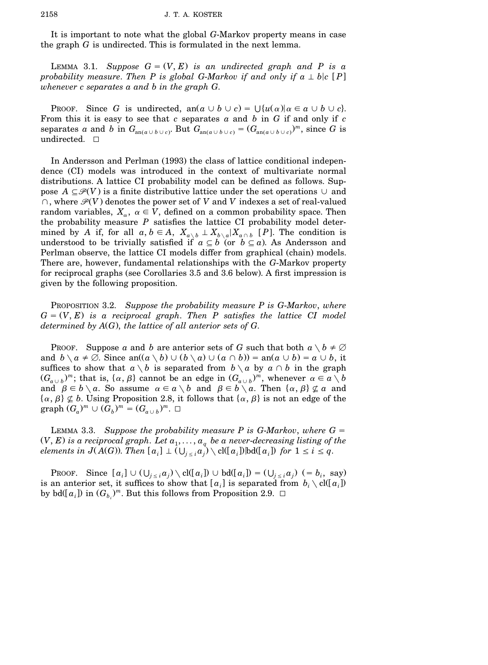It is important to note what the global *G*-Markov property means in case the graph *G* is undirected. This is formulated in the next lemma.

LEMMA 3.1. *Suppose*  $G = (V, E)$  *is an undirected graph and* P *is a probability measure*. *Then P is global G*-*Markov if and only if*  $a \perp b|c$  [*P*] *whenever c separates a and b in the graph G*.

PROOF. Since *G* is undirected, an $(a \cup b \cup c) = \bigcup \{u(\alpha) | \alpha \in a \cup b \cup c\}.$ From this it is easy to see that *c* separates *a* and *b* in *G* if and only if *c*  $\mathcal{L}_{\text{an}(a \cup b \cup c)}$  and *b* in  $G_{\text{an}(a \cup b \cup c)}$ . But  $G_{\text{an}(a \cup b \cup c)} = (G_{\text{an}(a \cup b \cup c)})^m$ , since *G* is undirected.  $\square$ 

In Andersson and Perlman (1993) the class of lattice conditional independence (CI) models was introduced in the context of multivariate normal distributions. A lattice CI probability model can be defined as follows. Suppose  $A \subseteq \mathcal{P}(V)$  is a finite distributive lattice under the set operations  $\cup$  and  $\cap$ , where  $\mathcal{P}(V)$  denotes the power set of *V* and *V* indexes a set of real-valued random variables,  $X_\alpha, \ \alpha \in V$ , defined on a common probability space. Then the probability measure *P* satisfies the lattice CI probability model determined by *A* if, for all  $a, b \in A$ ,  $X_{a \setminus b} \perp X_{b \setminus a} | X_{a \cap b}$  [*P*]. The condition is understood to be trivially satisfied if  $a \subseteq b$  (or  $b \subseteq a$ ). As Andersson and Perlman observe, the lattice CI models differ from graphical (chain) models. There are, however, fundamental relationships with the *G*-Markov property for reciprocal graphs (see Corollaries 3.5 and 3.6 below). A first impression is given by the following proposition.

PROPOSITION 3.2. *Suppose the probability measure P is G*-*Markov*, *where*  $G = (V, E)$  *is a reciprocal graph. Then P satisfies the lattice CI model determined by A*Ž*G*., *the lattice of all anterior sets of G*.

PROOF. Suppose *a* and *b* are anterior sets of *G* such that both  $a \setminus b \neq \emptyset$ and  $b \setminus a \neq \emptyset$ . Since an $((a \setminus b) \cup (b \setminus a) \cup (a \cap b)) =$  an $(a \cup b) = a \cup b$ , it suffices to show that  $a \setminus b$  is separated from  $b \setminus a$  by  $a \cap b$  in the graph  $(G_{a\cup b})^m$ ; that is,  $\{\alpha, \beta\}$  cannot be an edge in  $(G_{a\cup b})^m$ , whenever  $\alpha \in a \setminus b$ and  $\beta \in b \setminus a$ . So assume  $\alpha \in a \setminus b$  and  $\beta \in b \setminus a$ . Then  $\{\alpha, \beta\} \not\subseteq a$  and  $\{\alpha, \beta\} \not\subseteq b$ . Using Proposition 2.8, it follows that  $\{\alpha, \beta\}$  is not an edge of the  $graph (G_a)^m \cup (G_b)^m = (G_{a \cup b})^m$ .

LEMMA 3.3. *Suppose the probability measure*  $P$  *is G-Markov, where*  $G =$  $V(E)$  *is a* reciprocal graph. Let  $a_1, \ldots, a_q$  be a never-decreasing listing of the  $\alpha_i$  *alements* in  $J(A(G))$ . Then  $[a_i] \perp (\bigcup_{j \leq i} a_j) \setminus \text{cl}([a_i])$  [bd( $[a_i]$ ) for  $1 \leq i \leq q$ .

PROOF. Since  $[a_i] \cup (\bigcup_{j \leq i} a_j) \setminus \text{cl}([a_i]) \cup \text{bd}([a_i]) = (\bigcup_{j \leq i} a_j) (= b_i, \text{ say})$ is an anterior set, it suffices to show that  $[a_i]$  is separated from  $b_i \setminus \text{cl}([a_i])$ by bd $(Ia_i]$  in  $(G_{b_i})^m$ . But this follows from Proposition 2.9.  $\Box$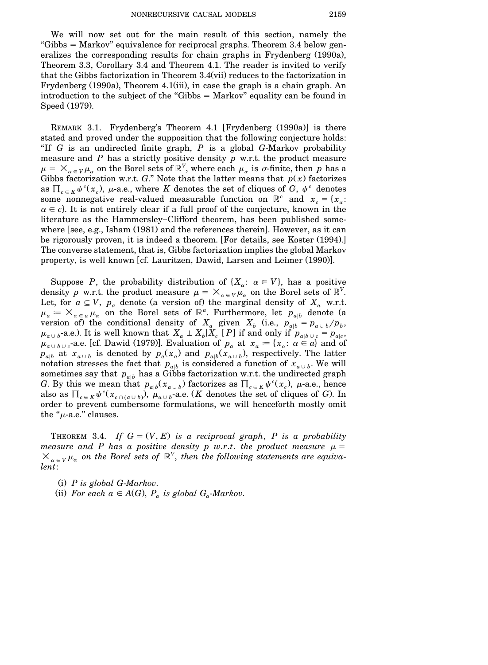We will now set out for the main result of this section, namely the "Gibbs  $=$  Markov" equivalence for reciprocal graphs. Theorem 3.4 below generalizes the corresponding results for chain graphs in Frydenberg (1990a), Theorem 3.3, Corollary 3.4 and Theorem 4.1. The reader is invited to verify that the Gibbs factorization in Theorem  $3.4$ (vii) reduces to the factorization in Frydenberg  $(1990a)$ , Theorem 4.1 $(iii)$ , in case the graph is a chain graph. An introduction to the subject of the "Gibbs  $=$  Markov" equality can be found in Speed (1979).

REMARK 3.1. Frydenberg's Theorem 4.1 [Frydenberg  $(1990a)$ ] is there stated and proved under the supposition that the following conjecture holds: ''If *G* is an undirected finite graph, *P* is a global *G*-Markov probability measure and *P* has a strictly positive density *p* w.r.t. the product measure  $\mu = \times_{\alpha \in V} \mu_{\alpha}$  on the Borel sets of  $\mathbb{R}^V$ , where each  $\mu_{\alpha}$  is  $\sigma$ -finite, then  $p$  has a Gibbs factorization w.r.t. *G*." Note that the latter means that  $p(x)$  factorizes as  $\prod_{c \in K} \psi^c(x_c)$ ,  $\mu$ -a.e., where *K* denotes the set of cliques of *G*,  $\psi^c$  denotes some nonnegative real-valued measurable function on  $\mathbb{R}^c$  and  $x_c = \{x_a :$  $\alpha \in c$ . It is not entirely clear if a full proof of the conjecture, known in the literature as the Hammersley-Clifford theorem, has been published somewhere [see, e.g., Isham  $(1981)$  and the references therein]. However, as it can be rigorously proven, it is indeed a theorem. [For details, see Koster (1994).] The converse statement, that is, Gibbs factorization implies the global Markov property, is well known [cf. Lauritzen, Dawid, Larsen and Leimer (1990)].

Suppose P, the probability distribution of  $\{X_\alpha: \alpha \in V\}$ , has a positive density *p* w.r.t. the product measure  $\mu = \times_{\alpha \in V} \mu_{\alpha}$  on the Borel sets of  $\mathbb{R}^V$ . Let, for  $a \subseteq V$ ,  $p_a$  denote (a version of) the marginal density of  $X_a$  w.r.t.  $\mu_a = \mathbb{X}_{a \in a} \mu_a$  on the Borel sets of  $\mathbb{R}^a$ . Furthermore, let  $p_{a|b}$  denote (a version of) the conditional density of  $X_a$  given  $X_b$  (i.e.,  $p_{a|b} = p_{a|b} / p_b$ ,  $\mu_{a\cup b}$ -a.e.). It is well known that  $X_a \perp X_b | X_c | P$  if and only if  $p_{a|b\cup c} = p_{a|c}$ ,  $\mu_{a\cup b\cup c}$ -a.e. [cf. Dawid (1979)]. Evaluation of  $p_a$  at  $x_a := \{x_a : a \in a\}$  and of  $p_{a|b}$  at  $x_{a|b}$  is denoted by  $p_a(x_a)$  and  $p_{a|b}(x_{a|b})$ , respectively. The latter notation stresses the fact that  $p_{a|b}$  is considered a function of  $x_{a|b}$ . We will sometimes say that  $p_{a|b}$  has a Gibbs factorization w.r.t. the undirected graph *G*. By this we mean that  $p_{a|b}(x_{a \cup b})$  factorizes as  $\prod_{c \in K} \psi^{c}(x_c)$ ,  $\mu$ -a.e., hence also as  $\prod_{c \in K} \psi^c(x_{c \cap (a \cup b)})$ ,  $\mu_{a \cup b}$ -a.e. (*K* denotes the set of cliques of *G*). In order to prevent cumbersome formulations, we will henceforth mostly omit the " $\mu$ -a.e." clauses.

THEOREM 3.4. If  $G = (V, E)$  is a reciprocal graph, P is a probability *measure* and P has a positive density p w.r.t. the product measure  $\mu =$  $\times$   $\alpha \in V$   $\mu_{\alpha}$  *on the Borel sets of*  $\mathbb{R}^{V}$ , *then the following statements are equivalent*:

- $(i)$  *P* is global *G*-*Markov*.
- (ii) For each  $a \in A(G)$ ,  $P_a$  is global  $G_a$ -Markov.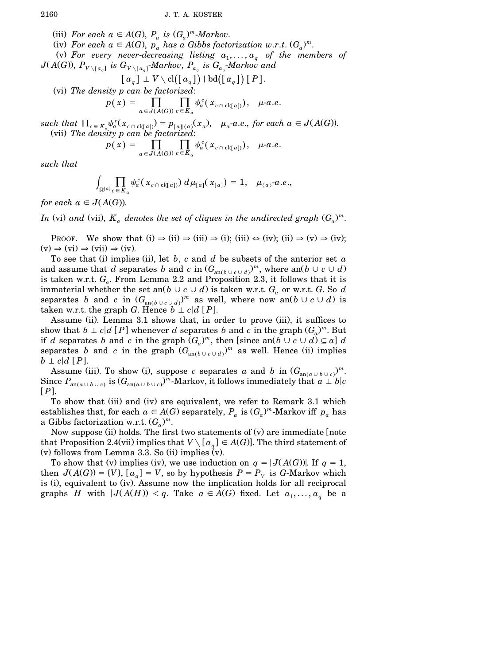(iii) For each  $a \in A(G)$ ,  $P_a$  is  $(G_a)^m$ -Markov.

 $(i)$  *For each*  $a \in A(G)$ ,  $p_a$  *has*  $a$  *Gibbs factorization*  $w.r.t.$   $(G_a)^m$ .

(v) For every never-decreasing listing  $a_1, \ldots, a_q$  of the members of  $J(A(G))$ ,  $P_{V \setminus [a_q]}$  is  $G_{V \setminus [a_q]}$  *Markov*,  $P_{a_q}$  is  $G_{a_q}$  *Markov* and

$$
\textcolor{gray}{\big[ \, a_q \, \big] \perp V \setminus \text{cl} \big( \big[ \, a_q \, \big] \big) \, | \, \text{bd} \big( \big[ \, a_q \, \big] \big) \, \big[ \, P \, \big]}.
$$

Žvi. *The density p can be factorized*:

$$
p(x) = \prod_{a \in J(A(G))} \prod_{c \in K_a} \psi_a^c(x_{c \cap cl(a)})
$$
,  $\mu$ -a.e.

such that  $\Pi_{c \in K_a} \psi_a^c(x_{c \cap cl(q_a)}) = p_{[a] | \langle a \rangle}(x_a)$ ,  $\mu_a$ -a.e., for each  $a \in J(A(G))$ . Žvii. *The density p can be factorized*:

$$
p(x) = \prod_{a \in J(A(G))} \prod_{c \in K_a} \psi_a^c(x_{c \cap cl([a]))}, \quad \mu \text{-}a.e.
$$

*such that*

$$
\int_{\mathbb{R}^{[a]}c \in K_a} \psi_a^c(x_{c \cap cl([a])}) d\mu_{[a]}(x_{[a]}) = 1, \quad \mu_{\langle a \rangle} \text{-} a.e.,
$$

*for each*  $a \in J(A(G))$ .

 $In$  (vi) and (vii),  $K_a$  denotes the set of cliques in the undirected graph  $(G_a)^m$ .

PROOF. We show that  $(i) \Rightarrow (ii) \Rightarrow (iii) \Rightarrow (i)$ ;  $(iii) \leftrightarrow (iv)$ ;  $(ii) \Rightarrow (v) \Rightarrow (iv)$ ;  $(v) \Rightarrow (vi) \Rightarrow (vii) \Rightarrow (iv).$ 

To see that (i) implies (ii), let  $b$ ,  $c$  and  $d$  be subsets of the anterior set  $a$ and assume that  $d$  separates  $b$  and  $c$  in  $(G_{\text{an}(b\cup c\cup d)})^m$ , where  $\text{an}(b\cup c\cup d)$ is taken w.r.t.  $G_a$ . From Lemma 2.2 and Proposition 2.3, it follows that it is immaterial whether the set an $(b \cup c \cup d)$  is taken w.r.t.  $G_a$  or w.r.t.  $G$ . So  $d$ separates *b* and *c* in  $(G_{an(b \cup c \cup d)})^m$  as well, where now an $(b \cup c \cup d)$  is taken w.r.t. the graph *G*. Hence  $b \perp c | d [P]$ .

Assume (ii). Lemma 3.1 shows that, in order to prove (iii), it suffices to show that  $b \perp c | d [P]$  whenever *d* separates *b* and *c* in the graph  $(G_a)^m$ . But if *d* separates *b* and *c* in the graph  $(G_a)^m$ , then [since an $(b \cup c \cup d) \subseteq a$ ] *d*. separates *b* and *c* in the graph  $(G_{an(b\cup c\cup d)})^m$  as well. Hence (ii) implies  $b \perp c | d [P].$ 

Assume (iii). To show (i), suppose *c* separates *a* and *b* in  $(G_{\text{an}(a\cup b\cup c)})^m$ .  $\text{Since } P_{\text{an}(a\cup b\cup c)} \text{ is } (G_{\text{an}(a\cup b\cup c)})^m\text{-Markov, it follows immediately that } a\perp b|c.$  $[P]$ .

To show that (iii) and (iv) are equivalent, we refer to Remark 3.1 which establishes that, for each  $a \in A(G)$  separately,  $P_a$  is  $(G_a)^m$ -Markov iff  $p_a$  has a Gibbs factorization w.r.t.  $(G_a)^m$ .

Now suppose (ii) holds. The first two statements of  $(v)$  are immediate [note that Proposition 2.4(vii) implies that  $V \setminus [a_q] \in A(G)$ . The third statement of  $(v)$  follows from Lemma 3.3. So  $(ii)$  implies  $(v)$ .

To show that (v) implies (iv), we use induction on  $q = |J(A(G))|$ . If  $q = 1$ , then  $J(A(G)) = \{V\}$ ,  $[a_q] = V$ , so by hypothesis  $P = P_V$  is *G*-Markov which is (i), equivalent to (iv). Assume now the implication holds for all reciprocal graphs *H* with  $|J(A(H))| < q$ . Take  $a \in A(G)$  fixed. Let  $a_1, \ldots, a_q$  be a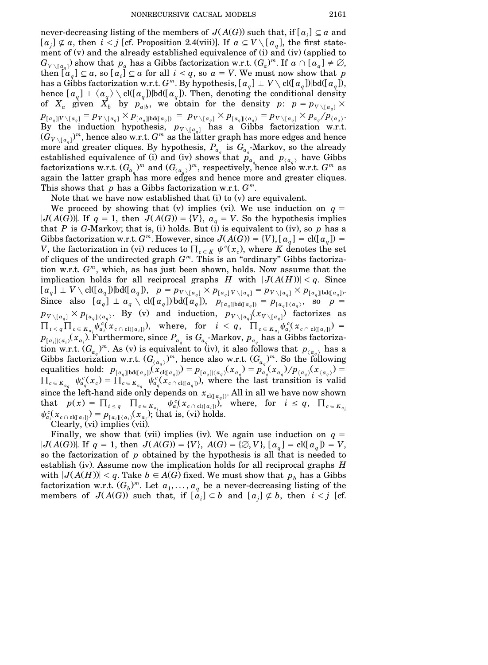never-decreasing listing of the members of  $J(A(G))$  such that, if  $[a_i] \subseteq a$  and  $[a_i] \not\subseteq a$ , then  $i < j$  [cf. Proposition 2.4(viii)]. If  $a \subseteq V \setminus [a_a]$ , the first statement of  $(v)$  and the already established equivalence of  $(i)$  and  $(iv)$  (applied to  $G_{V \setminus [a_q]}$  show that  $p_q$  has a Gibbs factorization w.r.t.  $(G_q)^m$ . If  $a \cap [a_q] \neq \emptyset$ ,  $a_i$   $a_q$   $\subseteq$  *a*, so  $[a_i] \subseteq a$  for all  $i \leq q$ , so  $a = V$ . We must now show that *p* has a Gibbs factorization w.r.t.  $G^m$ . By hypothesis,  $[a_q] \perp V \setminus \text{cl}([a_q]) | \text{bd}([a_q])$ , hence  $[a_q] \perp \langle a_q \rangle \setminus \text{cl}([a_q])$  bd $([a_q])$ . Then, denoting the conditional density of  $X_a$  given  $X_b$  by  $p_{a|b}$ , we obtain for the density  $p: p = p_{V \setminus [a_q]} \times$  $p_{\llbracket a_q \rrbracket | V \setminus \llbracket a_q \rrbracket} = p_{V \setminus \llbracket a_q \rrbracket | \times p_{\llbracket a_q \rrbracket | \text{bd} \llbracket a_q \rrbracket})} = p_{V \setminus \llbracket a_q \rrbracket | \langle a_q \rangle} = p_{V \setminus \llbracket a_q \rrbracket | \langle a_q \rangle} + p_{a_q}/p_{\langle a_q \rangle}.$ By the induction hypothesis,  $p_{V\setminus[a_q]}$  has a Gibbs factorization w.r.t.  $(G_{V\setminus[a_q]})^m$ , hence also w.r.t.  $G^m$  as the latter graph has more edges and hence more and greater cliques. By hypothesis,  $P_{a_q}$  is  $G_{a_q}$ -Markov, so the already established equivalence of (i) and (iv) shows that  $p_{a_q}$  and  $p_{\langle a_q \rangle}$  have Gibbs factorizations w.r.t.  $(G_{a_q})^m$  and  $(G_{\langle a_q \rangle})^m$ , respectively, hence also w.r.t.  $G^m$  as again the latter graph has more edges and hence more and greater cliques. This shows that *p* has a Gibbs factorization w.r.t. *G m*.

Note that we have now established that  $(i)$  to  $(v)$  are equivalent.

We proceed by showing that (v) implies (vi). We use induction on  $q =$ *J*(*A*(*G*)). If *q* = 1, then *J*(*A*(*G*)) = {*V*},  $a_q$  = *V*. So the hypothesis implies that *P* is *G*-Markov; that is, (i) holds. But (i) is equivalent to (iv), so *p* has a Gibbs factorization w.r.t.  $G^m$ . However, since  $J(A(G)) = \{V\}$ ,  $[a_q] = \text{cl}([a_q]) =$ *V*, the factorization in (vi) reduces to  $\prod_{c \in K} \psi^c(x_c)$ , where *K* denotes the set of cliques of the undirected graph  $G<sup>m</sup>$ . This is an "ordinary" Gibbs factorization w.r.t. *G <sup>m</sup>*, which, as has just been shown, holds. Now assume that the implication holds for all reciprocal graphs *H* with  $|J(A(H))| < q$ . Since  $[a_q] \perp V \setminus \text{cl}([a_q])| \text{bd}([a_q]), \quad p = p_{V \setminus [a_q]} \times p_{[a_q]|V \setminus [a_q]} = p_{V \setminus [a_q]} \times p_{[a_q]| \text{bd}([a_q])}.$ Since also  $[a_q] \perp a_q \setminus \text{cl}([a_q]) | \text{bd}([a_q]), p_{[a_q] | \text{bd}([a_q])} = p_{[a_q] | \langle a_q \rangle}, \text{ so } p =$  $p_{V \setminus [a_q]} \times p_{[a_q] | \langle a_q \rangle}$ . By (v) and induction,  $p_{V \setminus [a_q]}(x_{V \setminus [a_q]})$  factorizes as  $\Pi_{i < q} \Pi_{c \in K_{a_i}} \psi_{a_i}^{c}(x_{c \cap \text{cl}([a_i]))}$ , where, for  $i < q$ ,  $\Pi_{c \in K_{a_i}} \psi_{a_i}^{c}(x_{c \cap \text{cl}([a_i])}) =$  $p_{[a_i](\langle a_i \rangle}(\overline{x}_{a_i}).$  Furthermore, since  $P_{a_q}$  is  $G_{a_q}$ -Markov,  $p_{a_q}$  has a Gibbs factorization w.r.t.  $(G_{a_q})^m$ . As (v) is equivalent to (iv), it also follows that  $p_{a_q}$  has a Gibbs factorization w.r.t.  $(G_{\langle a_q \rangle})^m$ , hence also w.r.t.  $(G_{a_q})^m$ . So the following equalities hold:  $p_{[a_q]\mid bd([a_q])}(x_{\text{cl}(a_q])}^{(q)} ) = p_{[a_q]\mid (a_q)}(x_{a_q}) = p_{a_q}^{\{q\}}(x_{a_q})/p_{\langle a_q \rangle}(x_{\langle a_q \rangle}) =$  $\Pi_{c \in K_{a_q}} \psi_{a_q}^c(x_c) = \prod_{c \in K_{a_q}} \psi_{a_q}^c(x_{c \cap \text{cl}([a_q])})$ , where the last transition is valid since the left-hand side only depends on  $x_{\text{cl}(q_{q})}$ . All in all we have now shown that  $p(x) = \prod_{i \le q} \prod_{c \in K_{a_i}} \psi_{a_i}^c(x_{c \cap cl([a_i])})$  where, for  $i \le q$ ,  $\prod_{c \in K_{a_i}}$  $\psi_{a_i}^c(x_{c \cap \text{cl}([a_i])}) = p_{[a_i] | \langle a_i \rangle}(x_{a_i})$ ; that is, (vi) holds. Clearly,  $(vi)$  implies  $(vii)$ .

Finally, we show that (vii) implies (iv). We again use induction on  $q =$ *J*(*A*(*G*)). If  $q = 1$ , then  $J(A(G)) = \{V\}$ ,  $A(G) = \{\emptyset, V\}$ ,  $[a_q] = \text{cl}([a_q]) = V$ , so the factorization of *p* obtained by the hypothesis is all that is needed to establish (iv). Assume now the implication holds for all reciprocal graphs *H* with  $|J(A(H))| < q$ . Take  $b \in A(G)$  fixed. We must show that  $p_h$  has a Gibbs factorization w.r.t.  $(G_b)^m$ . Let  $a_1, \ldots, a_q$  be a never-decreasing listing of the members of  $J(A(G))$  such that, if  $[a_i] \subseteq b$  and  $[a_j] \not\subseteq b$ , then  $i < j$  [cf.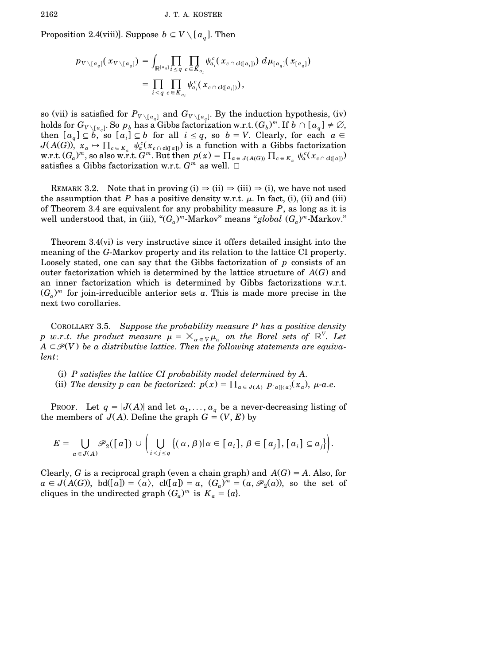Proposition 2.4(viii)]. Suppose  $b \subseteq V \setminus [a_q]$ . Then

$$
p_{V\setminus [a_q]}(x_{V\setminus [a_q]}) = \int_{\mathbb{R}^{[a_q]}} \prod_{i\leq q}\prod_{c\in K_{a_i}} \psi_{a_i}^c(x_{c\cap cl([a_i])}) d\mu_{[a_q]}(x_{[a_q]})
$$
  
= 
$$
\prod_{i\leq q}\prod_{c\in K_{a_i}} \psi_{a_i}^c(x_{c\cap cl([a_i])}),
$$

so (vii) is satisfied for  $P_{V \setminus [a_q]}$  and  $G_{V \setminus [a_q]}$ . By the induction hypothesis, (iv)  $m$  holds for  $G_{V \setminus [a_q]}$ . So  $p_b$  has a Gibbs factorization w.r.t.  $(G_b)^m$ . If  $b \cap [a_q] \neq \emptyset$ , then  $[a_q] \subseteq b$ , so  $[a_i] \subseteq b$  for all  $i \leq q$ , so  $b = V$ . Clearly, for each  $a \in$  $J(A(G))$ ,  $x_a \to \prod_{c \in K_a} \psi_a^c(x_{c \cap cl(q_a)})$  is a function with a Gibbs factorization<br>w.r.t.  $(G_a)^m$ , so also w.r.t.  $G^m$ . But then  $p(x) = \prod_{a \in J(A(G))} \prod_{c \in K_a} \psi_a^c(x_{c \cap cl(q_a)})$ satisfies a Gibbs factorization w.r.t.  $G^m$  as well.  $\Box$ 

REMARK 3.2. Note that in proving (i)  $\Rightarrow$  (ii)  $\Rightarrow$  (iii)  $\Rightarrow$  (i), we have not used the assumption that *P* has a positive density w.r.t.  $\mu$ . In fact, (i), (ii) and (iii) of Theorem 3.4 are equivalent for any probability measure *P*, as long as it is *m* well understood that, in (iii), " $(G_a)^m$ -Markov" means "*global*  $(G_a)^m$ -Markov."

Theorem  $3.4(vi)$  is very instructive since it offers detailed insight into the meaning of the *G*-Markov property and its relation to the lattice CI property. Loosely stated, one can say that the Gibbs factorization of *p* consists of an outer factorization which is determined by the lattice structure of  $A(G)$  and an inner factorization which is determined by Gibbs factorizations w.r.t.  $(G_a)^m$  for join-irreducible anterior sets *a*. This is made more precise in the next two corollaries.

COROLLARY 3.5. *Suppose the probability measure P has a positive density p w.r.t. the product measure*  $\mu = \times_{\alpha \in V} \mu_{\alpha}$  *on the Borel sets of*  $\mathbb{R}^V$ *. Let*  $A \subseteq \mathcal{P}(V)$  be a distributive lattice. Then the following statements are equiva*lent*:

- Ži. *P satisfies the lattice CI probability model determined by A*.
- (ii) The density p can be factorized:  $p(x) = \prod_{a \in J(A)} p_{[a] \setminus a}(x_a)$ ,  $\mu$ -a.e.

PROOF. Let  $q = |J(A)|$  and let  $a_1, \ldots, a_q$  be a never-decreasing listing of the members of  $J(A)$ . Define the graph  $G = (V, E)$  by

$$
E = \bigcup_{a \in J(A)} \mathscr{P}_2([a]) \cup \Biggl(\bigcup_{i < j \leq q} \bigl\{(\alpha, \beta) | \alpha \in [a_i], \beta \in [a_j], [a_i] \subseteq a_j\bigr\}\Biggr).
$$

Clearly, *G* is a reciprocal graph (even a chain graph) and  $A(G) = A$ . Also, for  $a \in J(A(G))$ , bd $(Ia]) = \langle a \rangle$ , cl $(Ia]) = a$ ,  $(G_a)^m = (a, \mathcal{P}_2(a))$ , so the set of cliques in the undirected graph  $(G_a)^m$  is  $K_a = \{a\}.$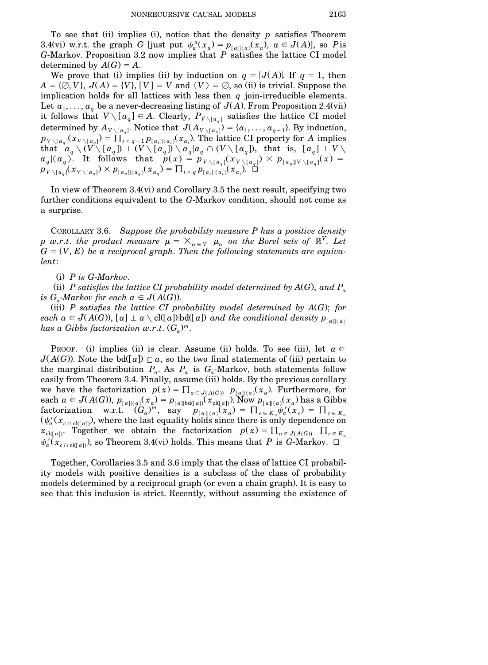To see that  $(ii)$  implies  $(i)$ , notice that the density  $p$  satisfies Theorem 3.4(vi) w.r.t. the graph *G* [just put  $\psi_a^a(x_a) = p_{[a]\setminus\{a\}}(x_a)$ ,  $a \in J(A)$ ], so *P* is *G*-Markov. Proposition 3.2 now implies that *P* satisfies the lattice CI model determined by  $A(G) = A$ .

We prove that (i) implies (ii) by induction on  $q = |J(A)|$ . If  $q = 1$ , then  $A = \{ \emptyset, V \}, J(A) = \{ V \}, [V] = V \text{ and } \langle V \rangle = \emptyset$ , so (ii) is trivial. Suppose the implication holds for all lattices with less then *q* join-irreducible elements. Let  $a_1, \ldots, a_q$  be a never-decreasing listing of  $J(A)$ . From Proposition 2.4(vii) it follows that  $V \setminus [a_q] \in A$ . Clearly,  $P_{V \setminus [a_q]}$  satisfies the lattice CI model determined by  $A_{V \setminus [a_q]}$ . Notice that  $J(A_{V \setminus [a_q]}) = \{a_1, \ldots, a_{q-1}\}\)$ . By induction,<br>  $p_{V \setminus [a_q]}(x_{V \setminus [a_q]}) = \prod_{i \leq q-1} p_{[a_i] | \langle a_i \rangle}(x_{a_i})$ . The lattice CI property for A implies  $\text{that} \quad a_q \setminus (V \setminus [a_q]) \perp (V \setminus [a_q]) \setminus a_q | a_q \cap (V \setminus [a_q])$ , that is,  $[a_q] \perp V \setminus [a_q]$  $a_q \vert \langle a_q \rangle$ . It follows that  $p(x) = p_{V \setminus [a_q]}(x_{V \setminus [a_q]}) \times p_{[a_q] \vert V \setminus [a_q]}(x) =$  $p_{V\setminus [a_q]}(x_{V\setminus [a_q]})\times p_{[a_q]\setminus (a_q)}(x_{a_q})=\prod_{i\leq q}p_{[a_i]\setminus (a_i)}(x_{a_i})$ .

In view of Theorem  $3.4(vi)$  and Corollary 3.5 the next result, specifying two further conditions equivalent to the *G*-Markov condition, should not come as a surprise.

COROLLARY 3.6. *Suppose the probability measure P has a positive density*  $p$  *w.r.t. the product measure*  $\mu = \times_{\alpha \in V} \mu_{\alpha}$  *on the Borel sets of*  $\mathbb{R}^V$ . Let  $G = (V, E)$  *be a reciprocal graph. Then the following statements are equivalent*:

Ži. *P is G*-*Markov*.

(ii) P satisfies the lattice CI probability model determined by  $A(G)$ , and  $P_a$ *is*  $G_a$ -*Markov for each*  $a \in J(A(G))$ .

 $(iii)$  *P satisfies the lattice CI probability model determined by*  $A(G)$ ; *for each*  $a \in J(A(G))$ ,  $[a] \perp a \setminus \text{cl}([a])$   $\text{bdd}([a])$  *and the conditional density*  $p_{\lceil a \rceil \langle a \rangle}$  $h$ as a Gibbs factorization  $w.r.t.$   $(G_a)^m$ .

PROOF. (i) implies (ii) is clear. Assume (ii) holds. To see (iii), let  $a \in$  $J(A(G))$ . Note the bd([a])  $\subseteq a$ , so the two final statements of (iii) pertain to the marginal distribution  $P_a$ . As  $P_a$  is  $G_a$ -Markov, both statements follow easily from Theorem 3.4. Finally, assume (iii) holds. By the previous corollary we have the factorization  $p(x) = \prod_{a \in J(A(G))} p_{[a] \setminus a}(x_a)$ . Furthermore, for each  $a \in J(A(G))$ ,  $p_{[a]\langle a\rangle}(x_a) = p_{[a]\triangleright d([a])}(x_{c\lfloor(a]\rfloor}).$  Now  $p_{[a]\langle a\rangle}(x_a)$  has a Gibbs  $\begin{array}{lll} \text{factorization} & \text{w.r.t.} & (G_a)^m, & \text{say} & p_{[a]| \langle a \rangle}(x_a) = \prod_{c \in K_a} \psi_a^c(x_c) = \prod_{c \in K_a} \psi_a^c(x_c) \ (\psi_a^c(x_{c \cap \text{cl}( [a])}), \text{where the last equality holds since there is only dependence on} \end{array}$  $x_{\text{cl}(a)}$ . Together we obtain the factorization  $p(x) = \prod_{a \in J(A(G))} \prod_{c \in K_a}$  $\psi_a^c(x_{c \cap cl(a)})$ , so Theorem 3.4(vi) holds. This means that *P* is *G*-Markov.  $\Box$ 

Together, Corollaries 3.5 and 3.6 imply that the class of lattice CI probability models with positive densities is a subclass of the class of probability models determined by a reciprocal graph (or even a chain graph). It is easy to see that this inclusion is strict. Recently, without assuming the existence of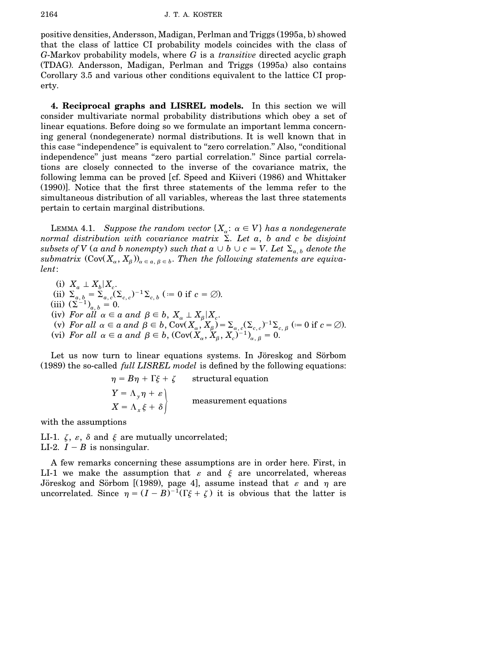positive densities, Andersson, Madigan, Perlman and Triggs (1995a, b) showed that the class of lattice CI probability models coincides with the class of *G*-Markov probability models, where *G* is a *transitive* directed acyclic graph (TDAG). Andersson, Madigan, Perlman and Triggs (1995a) also contains Corollary 3.5 and various other conditions equivalent to the lattice CI property.

**4. Reciprocal graphs and LISREL models.** In this section we will consider multivariate normal probability distributions which obey a set of linear equations. Before doing so we formulate an important lemma concerning general (nondegenerate) normal distributions. It is well known that in this case ''independence'' is equivalent to ''zero correlation.'' Also, ''conditional independence'' just means ''zero partial correlation.'' Since partial correlations are closely connected to the inverse of the covariance matrix, the following lemma can be proved [cf. Speed and Kiiveri (1986) and Whittaker  $(1990)$ . Notice that the first three statements of the lemma refer to the simultaneous distribution of all variables, whereas the last three statements pertain to certain marginal distributions.

LEMMA 4.1. *Suppose the random vector*  $\{X_{\alpha}: \alpha \in V\}$  *has a nondegenerate normal distribution with covariance matrix* S. *Let a*, *b and c be disjoint subsets of*  $V$  (*a and b nonempty*) *such that*  $a \cup b \cup c = V$ . Let  $\Sigma_{a,b}$  *denote the submatrix*  $(Cov(X_{\alpha}, X_{\beta}))_{\alpha \in a, \beta \in b}$ . Then the following statements are equiva*lent*:

- $(i)$   $X_a \perp X_b | X_c$ .
- (ii)  $\Sigma_{a, b} = \Sigma_{a, c} (\Sigma_{c, c})^{-1} \Sigma_{c, b}$  (= 0 if  $c = \emptyset$ ).

 $(iii)$   $(\Sigma^{-1})_{a, b} = 0.$ 

- $\alpha$  *for all*  $\alpha \in a$  *and*  $\beta \in b$ ,  $X_{\alpha} \perp X_{\beta} | X_{c}$ .
- $\Sigma$  . For all  $\alpha \in a$  and  $\beta \in b$ , Cov $(X_{\alpha}, X_{\beta}) = \sum_{\alpha, c} (\sum_{c, c})^{-1} \sum_{c, \beta} (c = 0$  if  $c = \emptyset$ .
- (vi) For all  $\alpha \in a$  and  $\beta \in b$ ,  $(\text{Cov}(X_\alpha, X_\beta, X_c)^{-1})_{\alpha, \beta} = 0$ .

Let us now turn to linear equations systems. In Jöreskog and Sörbom Ž1989. the so-called *full LISREL model* is defined by the following equations:

> $\eta = B\eta + \Gamma \xi + \zeta$  structural equation  $Y = \Lambda_{y}\eta + \varepsilon$  $X = \Lambda_x \xi + \delta$  measurement equations

with the assumptions

LI-1.  $\zeta$ ,  $\varepsilon$ ,  $\delta$  and  $\xi$  are mutually uncorrelated; LI-2.  $I - B$  is nonsingular.

A few remarks concerning these assumptions are in order here. First, in LI-1 we make the assumption that  $\varepsilon$  and  $\xi$  are uncorrelated, whereas Jöreskog and Sörbom [(1989), page 4], assume instead that  $\varepsilon$  and  $\eta$  are uncorrelated. Since  $\eta = (I - B)^{-1}(\Gamma \xi + \zeta)$  it is obvious that the latter is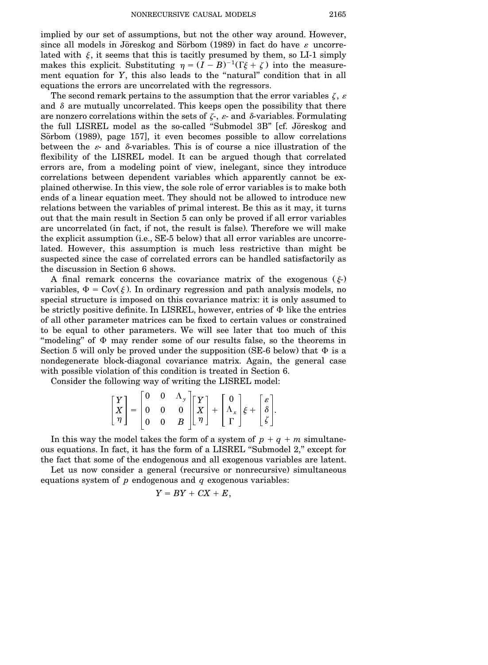implied by our set of assumptions, but not the other way around. However, since all models in Jöreskog and Sörbom (1989) in fact do have  $\varepsilon$  uncorrelated with  $\xi$ , it seems that this is tacitly presumed by them, so LI-1 simply makes this explicit. Substituting  $\eta = (I - B)^{-1}(\Gamma \xi + \zeta)$  into the measurement equation for *Y*, this also leads to the "natural" condition that in all equations the errors are uncorrelated with the regressors.

The second remark pertains to the assumption that the error variables  $\zeta$ ,  $\varepsilon$ and  $\delta$  are mutually uncorrelated. This keeps open the possibility that there are nonzero correlations within the sets of  $\zeta$ -,  $\varepsilon$ - and  $\delta$ -variables. Formulating the full LISREL model as the so-called "Submodel 3B" [cf. Jöreskog and Sörbom (1989), page 157], it even becomes possible to allow correlations between the  $\varepsilon$ - and  $\delta$ -variables. This is of course a nice illustration of the flexibility of the LISREL model. It can be argued though that correlated errors are, from a modeling point of view, inelegant, since they introduce correlations between dependent variables which apparently cannot be explained otherwise. In this view, the sole role of error variables is to make both ends of a linear equation meet. They should not be allowed to introduce new relations between the variables of primal interest. Be this as it may, it turns out that the main result in Section 5 can only be proved if all error variables are uncorrelated (in fact, if not, the result is false). Therefore we will make the explicit assumption (i.e., SE-5 below) that all error variables are uncorrelated. However, this assumption is much less restrictive than might be suspected since the case of correlated errors can be handled satisfactorily as the discussion in Section 6 shows.

A final remark concerns the covariance matrix of the exogenous  $(\xi)$ . variables,  $\Phi = \text{Cov}(\xi)$ . In ordinary regression and path analysis models, no special structure is imposed on this covariance matrix: it is only assumed to be strictly positive definite. In LISREL, however, entries of  $\Phi$  like the entries of all other parameter matrices can be fixed to certain values or constrained to be equal to other parameters. We will see later that too much of this "modeling" of  $\Phi$  may render some of our results false, so the theorems in Section 5 will only be proved under the supposition (SE-6 below) that  $\Phi$  is a nondegenerate block-diagonal covariance matrix. Again, the general case with possible violation of this condition is treated in Section 6.

Consider the following way of writing the LISREL model:

$$
\begin{bmatrix} Y \\ X \\ \eta \end{bmatrix} = \begin{bmatrix} 0 & 0 & \Lambda_y \\ 0 & 0 & 0 \\ 0 & 0 & B \end{bmatrix} \begin{bmatrix} Y \\ X \\ \eta \end{bmatrix} + \begin{bmatrix} 0 \\ \Lambda_x \\ \Gamma \end{bmatrix} \xi + \begin{bmatrix} \varepsilon \\ \delta \\ \zeta \end{bmatrix}.
$$

In this way the model takes the form of a system of  $p + q + m$  simultaneous equations. In fact, it has the form of a LISREL ''Submodel 2,'' except for the fact that some of the endogenous and all exogenous variables are latent.

Let us now consider a general (recursive or nonrecursive) simultaneous equations system of *p* endogenous and *q* exogenous variables:

$$
Y=BY+CX+E,
$$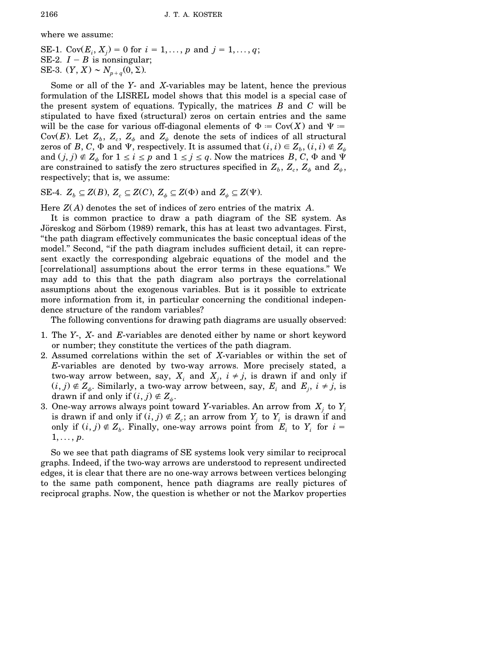where we assume:

SE-1.  $Cov(E_i, X_j) = 0$  for  $i = 1, ..., p$  and  $j = 1, ..., q$ ; SE-2.  $I - B$  is nonsingular; SE-3.  $(Y, X) \sim N_{p+q}(0, \Sigma)$ .

Some or all of the *Y*- and *X*-variables may be latent, hence the previous formulation of the LISREL model shows that this model is a special case of the present system of equations. Typically, the matrices *B* and *C* will be stipulated to have fixed (structural) zeros on certain entries and the same will be the case for various off-diagonal elements of  $\Phi = \text{Cov}(X)$  and  $\Psi =$ Cov(E). Let  $Z_b$ ,  $Z_c$ ,  $Z_\phi$  and  $Z_\psi$  denote the sets of indices of all structural zeros of *B*, *C*,  $\Phi$  and  $\Psi$ , respectively. It is assumed that  $(i, i) \in Z_b$ ,  $(i, i) \notin Z_\psi$ and  $(j, j) \notin Z$ <sub> $\phi$ </sub> for  $1 \le i \le p$  and  $1 \le j \le q$ . Now the matrices *B*, *C*,  $\Phi$  and  $\Psi$ are constrained to satisfy the zero structures specified in  $Z_b$ ,  $Z_c$ ,  $Z_\phi$  and  $Z_\psi$ , respectively; that is, we assume:

SE-4.  $Z_b \subseteq Z(B)$ ,  $Z_c \subseteq Z(C)$ ,  $Z_\phi \subseteq Z(\Phi)$  and  $Z_\psi \subseteq Z(\Psi)$ .

Here  $Z(A)$  denotes the set of indices of zero entries of the matrix  $A$ .

It is common practice to draw a path diagram of the SE system. As Jöreskog and Sörbom (1989) remark, this has at least two advantages. First, ''the path diagram effectively communicates the basic conceptual ideas of the model.'' Second, ''if the path diagram includes sufficient detail, it can represent exactly the corresponding algebraic equations of the model and the [correlational] assumptions about the error terms in these equations." We may add to this that the path diagram also portrays the correlational assumptions about the exogenous variables. But is it possible to extricate more information from it, in particular concerning the conditional independence structure of the random variables?

The following conventions for drawing path diagrams are usually observed:

- 1. The *Y*-, *X* and *E*-variables are denoted either by name or short keyword or number; they constitute the vertices of the path diagram.
- 2. Assumed correlations within the set of *X*-variables or within the set of *E*-variables are denoted by two-way arrows. More precisely stated, a two-way arrow between, say,  $X_i$  and  $X_j$ ,  $i \neq j$ , is drawn if and only if  $(i, j) \notin \mathbb{Z}_{\phi}$ . Similarly, a two-way arrow between, say,  $E_i$  and  $E_j$ ,  $i \neq j$ , is drawn if and only if  $(i, j) \notin Z_{\psi}$ .
- 3. One-way arrows always point toward *Y*-variables. An arrow from  $X_j$  to  $Y_i$ is drawn if and only if  $(i, j) \notin Z_c$ ; an arrow from  $Y_j$  to  $Y_i$  is drawn if and only if  $(i, j) \notin Z_b$ . Finally, one-way arrows point from  $E_i$  to  $Y_i$  for  $i =$ 1,. . ., *p*.

So we see that path diagrams of SE systems look very similar to reciprocal graphs. Indeed, if the two-way arrows are understood to represent undirected edges, it is clear that there are no one-way arrows between vertices belonging to the same path component, hence path diagrams are really pictures of reciprocal graphs. Now, the question is whether or not the Markov properties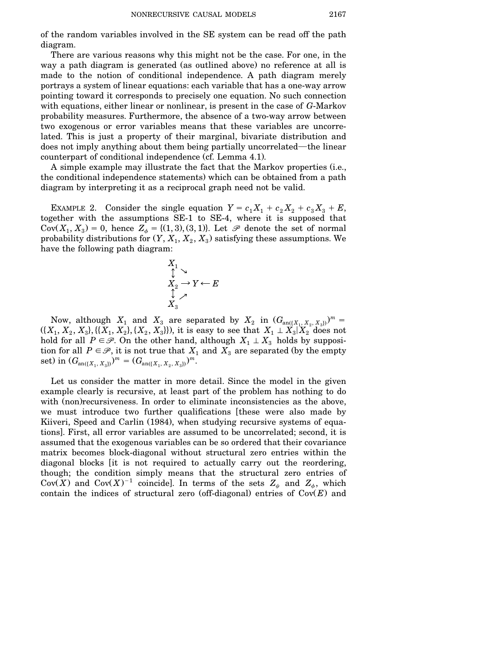of the random variables involved in the SE system can be read off the path diagram.

There are various reasons why this might not be the case. For one, in the way a path diagram is generated (as outlined above) no reference at all is made to the notion of conditional independence. A path diagram merely portrays a system of linear equations: each variable that has a one-way arrow pointing toward it corresponds to precisely one equation. No such connection with equations, either linear or nonlinear, is present in the case of *G*-Markov probability measures. Furthermore, the absence of a two-way arrow between two exogenous or error variables means that these variables are uncorrelated. This is just a property of their marginal, bivariate distribution and does not imply anything about them being partially uncorrelated—the linear counterpart of conditional independence (cf. Lemma 4.1).

A simple example may illustrate the fact that the Markov properties (i.e., the conditional independence statements) which can be obtained from a path diagram by interpreting it as a reciprocal graph need not be valid.

EXAMPLE 2. Consider the single equation  $Y = c_1 X_1 + c_2 X_2 + c_3 X_3 + E$ , together with the assumptions SE-1 to SE-4, where it is supposed that Cov $(X_1, X_3) = 0$ , hence  $Z_{\phi} = \{(1,3), (3,1)\}\)$ . Let  $\mathscr P$  denote the set of normal probability distributions for  $(Y, X_1, X_2, X_3)$  satisfying these assumptions. We have the following path diagram:

$$
\begin{array}{c}\nX_1 \\
\updownarrow \\
X_2 \to Y \leftarrow E \\
\downarrow \\
X_3\n\end{array}
$$

Now, although  $X_1$  and  $X_3$  are separated by  $X_2$  in  $(G_{\text{an}((X_1, X_2, X_3))})^m$  $(\{X_1, X_2, X_3\}, \{\{X_1, X_2\}, \{X_2, X_3\}\}),$  it is easy to see that  $X_1 \perp \hat{X_3} | \hat{X_2}$  does not hold for all  $P \in \mathcal{P}$ . On the other hand, although  $X_1 \perp X_3$  holds by supposition for all  $P \in \mathcal{P}$ , it is not true that  $X_1$  and  $X_3$  are separated (by the empty set) in  $(G_{\text{an}(\lbrace X_1, X_3 \rbrace)})^m = (G_{\text{an}(\lbrace X_1, X_2, X_3 \rbrace)})^m$ .

Let us consider the matter in more detail. Since the model in the given example clearly is recursive, at least part of the problem has nothing to do with (non) recursiveness. In order to eliminate inconsistencies as the above, we must introduce two further qualifications [these were also made by Kiiveri, Speed and Carlin (1984), when studying recursive systems of equations]. First, all error variables are assumed to be uncorrelated; second, it is assumed that the exogenous variables can be so ordered that their covariance matrix becomes block-diagonal without structural zero entries within the diagonal blocks it is not required to actually carry out the reordering, though; the condition simply means that the structural zero entries of  $Cov(X)$  and  $Cov(X)^{-1}$  coincide]. In terms of the sets  $Z_{\psi}$  and  $Z_{\phi}$ , which contain the indices of structural zero (off-diagonal) entries of  $Cov(E)$  and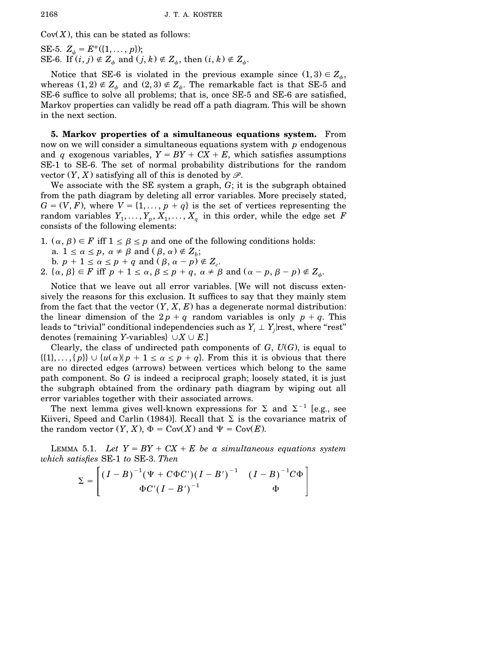$Cov(X)$ , this can be stated as follows:

SE-5.  $Z_{\psi} = E^*(\{1, \ldots, p\});$ SE-6. If  $(i, j) \notin Z_\phi$  and  $(j, k) \notin Z_\phi$ , then  $(i, k) \notin Z_\phi$ .

Notice that SE-6 is violated in the previous example since  $(1,3) \in Z_\phi$ , whereas  $(1,2) \notin Z$ <sub> $\phi$ </sub> and  $(2,3) \notin Z$ <sub> $\phi$ </sub>. The remarkable fact is that SE-5 and SE-6 suffice to solve all problems; that is, once SE-5 and SE-6 are satisfied, Markov properties can validly be read off a path diagram. This will be shown in the next section.

**5. Markov properties of a simultaneous equations system.** From now on we will consider a simultaneous equations system with *p* endogenous and *q* exogenous variables,  $Y = BY + CX + E$ , which satisfies assumptions SE-1 to SE-6. The set of normal probability distributions for the random vector  $(Y, X)$  satisfying all of this is denoted by  $\mathscr{P}$ .

We associate with the SE system a graph, *G*; it is the subgraph obtained from the path diagram by deleting all error variables. More precisely stated,  $G = (V, F)$ , where  $V = \{1, \ldots, p + q\}$  is the set of vertices representing the random variables  $Y_1, \ldots, Y_p, X_1, \ldots, X_q$  in this order, while the edge set *F* consists of the following elements:

- 1.  $(\alpha, \beta) \in F$  iff  $1 \leq \beta \leq p$  and one of the following conditions holds:
	- a.  $1 \le \alpha \le p$ ,  $\alpha \ne \beta$  and  $(\beta, \alpha) \notin Z_b$ ;
	- b.  $p + 1 \le \alpha \le p + q$  and  $(\beta, \alpha p) \notin Z_c$ .
- 2.  $\{\alpha, \beta\} \in F$  iff  $p + 1 \le \alpha, \beta \le p + q, \alpha \neq \beta \text{ and } (\alpha p, \beta p) \notin Z_{\phi}$ .

Notice that we leave out all error variables. [We will not discuss extensively the reasons for this exclusion. It suffices to say that they mainly stem from the fact that the vector  $(Y, X, E)$  has a degenerate normal distribution: the linear dimension of the  $2p + q$  random variables is only  $p + q$ . This leads to "trivial" conditional independencies such as  $Y_i \perp Y_i$  rest, where "rest" denotes {remaining *Y*-variables}  $\cup X \cup E$ .

Clearly, the class of undirected path components of  $G$ ,  $U(G)$ , is equal to  $\{\{1\},\ldots,\{p\}\}\cup\{u(\alpha)|p+1\leq \alpha\leq p+q\}.$  From this it is obvious that there are no directed edges (arrows) between vertices which belong to the same path component. So *G* is indeed a reciprocal graph; loosely stated, it is just the subgraph obtained from the ordinary path diagram by wiping out all error variables together with their associated arrows.

The next lemma gives well-known expressions for  $\Sigma$  and  $\Sigma^{-1}$  [e.g., see Kiiveri, Speed and Carlin (1984)]. Recall that  $\Sigma$  is the covariance matrix of the random vector  $(Y, X)$ ,  $\Phi = \text{Cov}(X)$  and  $\Psi = \text{Cov}(E)$ .

LEMMA 5.1. Let  $Y = BY + CX + E$  be a simultaneous equations system *which satisfies* SE-1 *to* SE-3. *Then*

$$
\Sigma = \begin{bmatrix} (I - B)^{-1} (\Psi + C\Phi C')(I - B')^{-1} & (I - B)^{-1} C\Phi \\ \Phi C'(I - B')^{-1} & \Phi \end{bmatrix}
$$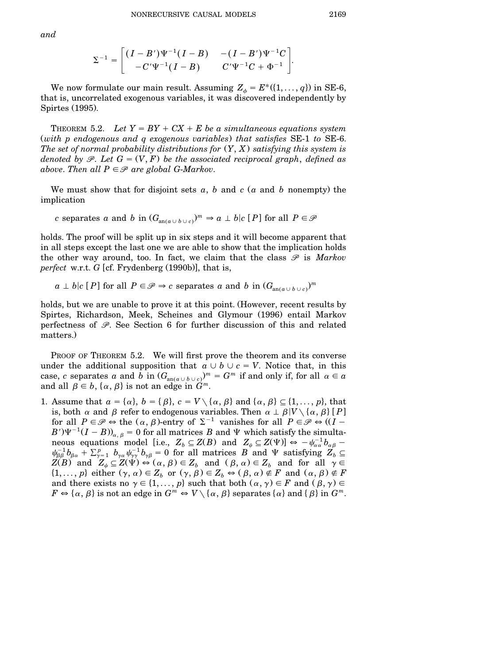$$
\Sigma^{-1} = \begin{bmatrix} (I - B')\Psi^{-1}(I - B) & -(I - B')\Psi^{-1}C \\ -C'\Psi^{-1}(I - B) & C'\Psi^{-1}C + \Phi^{-1} \end{bmatrix}.
$$

We now formulate our main result. Assuming  $Z_{\phi} = E^*(1, \ldots, q)$  in SE-6, that is, uncorrelated exogenous variables, it was discovered independently by Spirtes  $(1995)$ .

THEOREM 5.2. *Let*  $Y = BY + CX + E$  *be a simultaneous equations system* Ž*with p endogenous and q exogenous variables*. *that satisfies* SE-1 *to* SE-6. *The* set of normal probability distributions for  $(Y, X)$  satisfying this system is *denoted by*  $\mathscr{P}$ . Let  $G = (V, F)$  *be the associated reciprocal graph, defined as above. Then all*  $P \in \mathcal{P}$  *are global G-Markov.* 

We must show that for disjoint sets  $a, b$  and  $c$   $(a \text{ and } b \text{ nonempty})$  the implication

*c* separates *a* and *b* in  $(G_{an(a \cup b \cup c)})^m \Rightarrow a \perp b|c [P]$  for all  $P \in \mathcal{P}$ 

holds. The proof will be split up in six steps and it will become apparent that in all steps except the last one we are able to show that the implication holds the other way around, too. In fact, we claim that the class  $\mathscr P$  is *Markov perfect* w.r.t. *G* [cf. Frydenberg  $(1990b)$ ], that is,

 $a \perp b \mid c \in P$  for all  $P \in \mathcal{P} \Rightarrow c$  separates *a* and *b* in  $(G_{\text{an}(a \cup b \cup c)})^m$ 

holds, but we are unable to prove it at this point. (However, recent results by Spirtes, Richardson, Meek, Scheines and Glymour (1996) entail Markov perfectness of *P*. See Section 6 for further discussion of this and related matters.)

PROOF OF THEOREM 5.2. We will first prove the theorem and its converse under the additional supposition that  $a \cup b \cup c = V$ . Notice that, in this  $\max$ , *c* separates *a* and *b* in  $(G_{\text{an}(a \cup b \cup c)})^m = G^m$  if and only if, for all  $\alpha \in a$ and all  $\beta \in b$ ,  $\{\alpha, \beta\}$  is not an edge in  $\widehat{G}^m$ .

1. Assume that  $a = \{\alpha\}, b = \{\beta\}, c = V \setminus \{\alpha, \beta\}$  and  $\{\alpha, \beta\} \subseteq \{1, \ldots, p\}$ , that is, both  $\alpha$  and  $\beta$  refer to endogenous variables. Then  $\alpha \perp \beta$  |*V* \ { $\alpha$ ,  $\beta$ } [*P*] for all  $P \in \mathcal{P} \Leftrightarrow$  the  $(\alpha, \beta)$ -entry of  $\Sigma^{-1}$  vanishes for all  $P \in \mathcal{P} \Leftrightarrow ((I B'$ ) $\Psi^{-1}(I - B)$ <sub> $\alpha, \beta$ </sub> = 0 for all matrices *B* and  $\Psi$  which satisfy the simultaneous equations model [i.e.,  $Z_b \subseteq Z(B)$  and  $Z_{\psi} \subseteq Z(\Psi)$ ]  $\Leftrightarrow$   $-\psi_{\alpha\alpha}^{-1}b_{\alpha\beta}$  - $\psi_{\beta\beta}^{-1}b_{\beta\alpha} + \Sigma_{\gamma=1}^p b_{\gamma\alpha}\psi_{\gamma\gamma}^{-1}b_{\gamma\beta} = 0$  for all matrices *B* and  $\Psi$  satisfying  $Z_b \subseteq$  $Z(B)$  and  $Z_{\psi} \subseteq Z(\Psi) \Leftrightarrow (\alpha, \beta) \in Z_b$  and  $(\beta, \alpha) \in Z_b$  and for all  $\gamma \in Z_b$  $\{1,\ldots,p\}$  either  $(\gamma,\alpha)\in Z_b$  or  $(\gamma,\beta)\in Z_b$   $\Leftrightarrow$   $(\beta,\alpha)\notin F$  and  $(\alpha,\beta)\notin F$ and there exists no  $\gamma \in \{1, ..., p\}$  such that both  $(\alpha, \gamma) \in F$  and  $(\beta, \gamma) \in$  $F \Leftrightarrow {\alpha, \beta}$  is not an edge in  $G^m \Leftrightarrow V \setminus {\alpha, \beta}$  separates  ${\alpha}$  and  ${\beta}$  in  $G^m$ .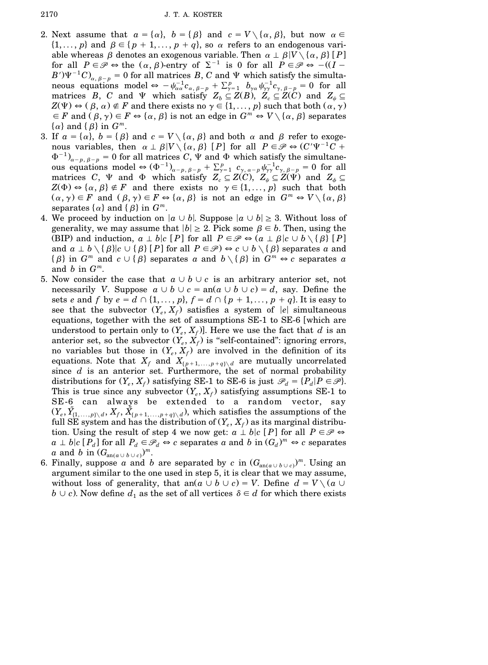- 2. Next assume that  $a = \{\alpha\}, b = \{\beta\}$  and  $c = V \setminus \{\alpha, \beta\}$ , but now  $\alpha \in$  $\{1,\ldots,p\}$  and  $\beta \in \{p+1,\ldots,p+q\}$ , so  $\alpha$  refers to an endogenous variable whereas  $\beta$  denotes an exogenous variable. Then  $\alpha \perp \beta$   $V \setminus {\alpha, \beta}$  [P] for all  $P \in \mathcal{P} \Leftrightarrow$  the  $(\alpha, \beta)$ -entry of  $\Sigma^{-1}$  is 0 for all  $P \in \mathcal{P} \Leftrightarrow -(I B'$ <sup> $\Psi^{-1}$ </sup> $C$ <sub> $\alpha, \beta-p$ </sub> = 0 for all matrices *B*, *C* and  $\Psi$  which satisfy the simultaneous equations model  $\Leftrightarrow -\psi_{\alpha\alpha}^{-1}c_{\alpha,\beta-p} + \sum_{\gamma=1}^p b_{\gamma\alpha}\psi_{\gamma\gamma}^{-1}c_{\gamma,\beta-p} = 0$  for all matrices *B*, *C* and  $\Psi$  which satisfy  $Z_b \subseteq Z(B)$ ,  $Z_c \subseteq Z(C)$  and  $Z_w \subseteq$  $Z(\Psi) \Leftrightarrow (\beta, \alpha) \notin F$  and there exists no  $\gamma \in \{1, \ldots, p\}$  such that both  $(\alpha, \gamma)$  $\in$  *F* and  $(\beta, \gamma) \in$  *F*  $\Leftrightarrow \{\alpha, \beta\}$  is not an edge in  $G^m \Leftrightarrow V \setminus \{\alpha, \beta\}$  separates  $\{\alpha\}$  and  $\{\beta\}$  in  $G^m$ .
- 3. If  $a = \{\alpha\}, b = \{\beta\}$  and  $c = V \setminus \{\alpha, \beta\}$  and both  $\alpha$  and  $\beta$  refer to exogenous variables, then  $\alpha \perp \beta$  |*V* \ { $\alpha$ ,  $\beta$ } [*P*] for all  $P \in \mathcal{P} \Leftrightarrow (C' \Psi^{-1} C +$  $\Phi^{-1}$ <sub> $\alpha-p, \beta-p}$ </sub> = 0 for all matrices *C*,  $\Psi$  and  $\Phi$  which satisfy the simultaneous equations model  $\Leftrightarrow (\Phi^{-1})_{\alpha-p, \beta-p} + \sum_{\gamma=1}^p c_{\gamma, \alpha-p} \psi^{-1}_{\gamma\gamma} c_{\gamma, \beta-p} = 0$  for all matrices *C*,  $\Psi$  and  $\Phi$  which satisfy  $Z_c \subseteq Z(C)$ ,  $Z_{\psi} \subseteq Z(\Psi)$  and  $Z_{\phi} \subseteq$  $Z(\Phi) \Leftrightarrow {\alpha, \beta} \notin F$  and there exists no  $\gamma \in \{1, ..., p\}$  such that both  $(\alpha, \gamma) \in F$  and  $(\beta, \gamma) \in F \Leftrightarrow {\alpha, \beta}$  is not an edge in  $G^m \Leftrightarrow V \setminus {\alpha, \beta}$ separates  $\{\alpha\}$  and  $\{\beta\}$  in  $G^m$ .
- 4. We proceed by induction on  $|a \cup b|$ . Suppose  $|a \cup b| \geq 3$ . Without loss of generality, we may assume that  $|b| \geq 2$ . Pick some  $\beta \in b$ . Then, using the (BIP) and induction,  $a \perp b | c [P]$  for all  $P \in \mathcal{P} \Leftrightarrow (a \perp \beta | c \cup b \setminus {\beta} [P]$ and  $a \perp b \setminus {\{\beta\}} | c \cup {\{\beta\}} [P]$  for all  $P \in \mathcal{P}$   $\Rightarrow$   $c \cup b \setminus {\{\beta\}}$  separates a and  $\{\beta\}$  in  $G^m$  and  $c \cup \{\beta\}$  separates *a* and  $b \setminus \{\beta\}$  in  $G^m \Leftrightarrow c$  separates *a* and *b* in *G m*.
- 5. Now consider the case that  $a \cup b \cup c$  is an arbitrary anterior set, not necessarily *V*. Suppose  $a \cup b \cup c = an(a \cup b \cup c) = d$ , say. Define the sets *e* and *f* by  $e = d \cap \{1, ..., p\}$ ,  $f = d \cap \{p+1, ..., p+q\}$ . It is easy to see that the subvector  $(Y_e, X_f)$  satisfies a system of  $|e|$  simultaneous equations, together with the set of assumptions SE-1 to SE-6 [which are understood to pertain only to  $(Y_e, X_f)$ . Here we use the fact that *d* is an anterior set, so the subvector  $(Y_e, X_f)$  is "self-contained": ignoring errors, no variables but those in  $(Y_e, X_f)$  are involved in the definition of its equations. Note that  $X_f$  and  $X_{(p+1,\ldots,p+q)\setminus d}$  are mutually uncorrelated since *d* is an anterior set. Furthermore, the set of normal probability distributions for  $(Y_e, X_f)$  satisfying SE-1 to SE-6 is just  $\mathcal{P}_d = \{P_d | P \in \mathcal{P}\}\.$ This is true since any subvector  $(Y_e, X_f)$  satisfying assumptions SE-1 to SE-6 can always be extended to a random vector, say  $(Y_e, \tilde{Y}_{(1,...,p)\setminus d}, X_f, \tilde{X}_{(p+1,...,p+q)\setminus d})$ , which satisfies the assumptions of the full SE system and has the distribution of  $(Y_e, X_f)$  as its marginal distribution. Using the result of step 4 we now get:  $a \perp b | c | P$  for all  $P \in \mathcal{P} \Leftrightarrow$  $a \perp b$   $[c]$   $P_d$   $]$  for all  $P_d \in \mathscr{P}_d \Leftrightarrow c$  separates  $a$  and  $b$  in  $(G_d)^m \Leftrightarrow c$  separates *a* and *b* in  $(G_{\text{an}(a\cup b\cup c)})^m$ .
- 6. Finally, suppose *a* and *b* are separated by *c* in  $(G_{\text{an}(a\cup b\cup c)})^m$ . Using an argument similar to the one used in step 5, it is clear that we may assume, without loss of generality, that an $(a \cup b \cup c) = V$ . Define  $d = V \setminus (a \cup c)$  $b \cup c$ ). Now define  $d_1$  as the set of all vertices  $\delta \in d$  for which there exists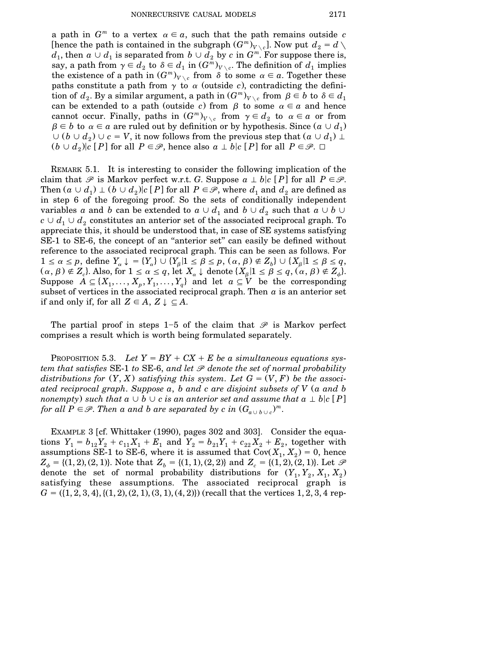a path in  $G^m$  to a vertex  $\alpha \in \alpha$ , such that the path remains outside *c* [hence the path is contained in the subgraph  $(G^m)_{V \setminus c}$ ]. Now put  $d_2 = d \setminus d$  $d_1$ , then  $a \cup d_1$  is separated from  $b \cup d_2$  by  $c$  in  $G^m$ . For suppose there is, say, a path from  $\gamma \in d_2$  to  $\delta \in d_1$  in  $(G^m)_{V \setminus c}$ . The definition of  $d_1$  implies the existence of a path in  $(G^m)_{V \setminus c}$  from  $\delta$  to some  $\alpha \in a$ . Together these paths constitute a path from  $\gamma$  to  $\alpha$  (outside *c*), contradicting the defini- $\min$  of  $d_2$ . By a similar argument, a path  $\in$   $(G^m)_{V \setminus c}$  from  $\beta \in b$  to  $\delta \in d_1$ can be extended to a path (outside *c*) from  $\beta$  to some  $\alpha \in \alpha$  and hence cannot occur. Finally, paths in  $(G^m)_{V \setminus c}$  from  $\gamma \in d_2$  to  $\alpha \in a$  or from  $\beta \in b$  to  $\alpha \in a$  are ruled out by definition or by hypothesis. Since  $(a \cup d_1)$  $\cup$  (*b*  $\cup$  *d*<sub>2</sub>)  $\cup$  *c* = *V*, it now follows from the previous step that (*a*  $\cup$  *d*<sub>1</sub>)  $\perp$  $(b \cup d_2)$  *c*  $[P]$  for all  $P \in \mathcal{P}$ , hence also  $a \perp b$  *c*  $[P]$  for all  $P \in \mathcal{P}$ .  $\Box$ 

REMARK 5.1. It is interesting to consider the following implication of the claim that  $\mathscr P$  is Markov perfect w.r.t. *G*. Suppose  $a \perp b \mid c \mid P$  for all  $P \in \mathscr P$ . Then  $(a \cup d_1) \perp (b \cup d_2)$  *c* [*P*] for all  $P \in \mathcal{P}$ , where  $d_1$  and  $d_2$  are defined as in step 6 of the foregoing proof. So the sets of conditionally independent variables *a* and *b* can be extended to  $a \cup d_1$  and  $b \cup d_2$  such that  $a \cup b \cup$  $c \cup d_1 \cup d_2$  constitutes an anterior set of the associated reciprocal graph. To appreciate this, it should be understood that, in case of SE systems satisfying SE-1 to SE-6, the concept of an "anterior set" can easily be defined without reference to the associated reciprocal graph. This can be seen as follows. For  $1 \le \alpha \le p$ , define  $Y_{\alpha} \downarrow = \{Y_{\alpha}\} \cup \{Y_{\beta} | 1 \le \beta \le p, (\alpha, \beta) \notin Z_{\beta} \cup \{X_{\beta} | 1 \le \beta \le q,$  $(\alpha, \beta) \notin Z_c$ . Also, for  $1 \leq \alpha \leq q$ , let  $X_\alpha \downarrow$  denote  $\{X_\beta | 1 \leq \beta \leq q, (\alpha, \beta) \notin Z_\phi\}$ . Suppose  $A \subseteq \{X_1, \ldots, X_p, Y_1, \ldots, Y_q\}$  and let  $a \subseteq V$  be the corresponding subset of vertices in the associated reciprocal graph. Then  $\alpha$  is an anterior set if and only if, for all  $Z \in A$ ,  $Z \downarrow \subseteq A$ .

The partial proof in steps 1–5 of the claim that  $\mathscr P$  is Markov perfect comprises a result which is worth being formulated separately.

PROPOSITION 5.3. Let  $Y = BY + CX + E$  be a simultaneous equations sys*tem that satisfies* SE-1 *to* SE-6, *and let P denote the set of normal probability distributions* for  $(Y, X)$  *satisfying this system. Let*  $G = (V, F)$  *be the associated reciprocal graph*. *Suppose a*, *b and c are disjoint subsets of V* Ž*a and b nonempty*) such that  $a \cup b \cup c$  is an anterior set and assume that  $a \perp b | c [P]$ *for* all  $P \in \mathscr{P}$ . Then a and b are separated by c in  $(G_{a \cup b \cup c})^m$ .

EXAMPLE 3 [cf. Whittaker (1990), pages 302 and 303]. Consider the equations  $Y_1 = b_{12}Y_2 + c_{11}X_1 + E_1$  and  $Y_2 = b_{21}Y_1 + c_{22}X_2 + E_2$ , together with assumptions SE-1 to SE-6, where it is assumed that  $Cov(X_1, X_2) = 0$ , hence  $Z_{\phi} = \{(1,2), (2,1)\}\text{. Note that } Z_{b} = \{(1,1), (2,2)\}\text{ and } Z_{c} = \{(1,2), (2,1)\}\text{. Let } \mathcal{P}$ denote the set of normal probability distributions for  $(Y_1, Y_2, X_1, X_2)$ satisfying these assumptions. The associated reciprocal graph is  $G = (\{1, 2, 3, 4\}, \{(1, 2), (2, 1), (3, 1), (4, 2)\})$  (recall that the vertices 1, 2, 3, 4 rep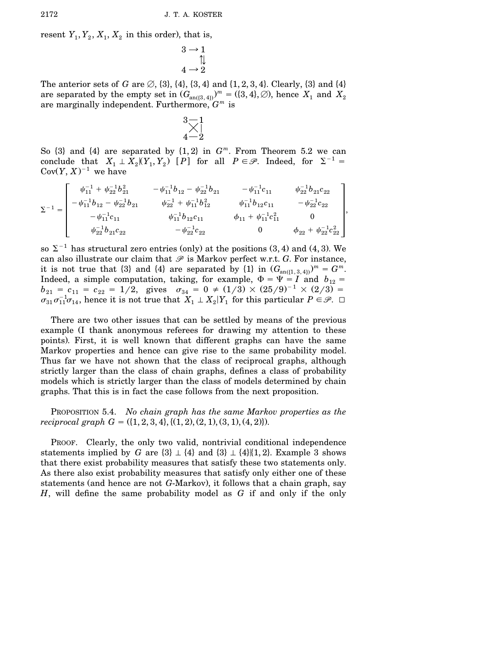resent  $Y_1, Y_2, X_1, X_2$  in this order), that is,

$$
\begin{array}{c}\n3 \rightarrow 1 \\
\uparrow \downarrow \\
4 \rightarrow 2\n\end{array}
$$

The anterior sets of *G* are  $\emptyset$ ,  $\{3\}$ ,  $\{4\}$ ,  $\{3, 4\}$  and  $\{1, 2, 3, 4\}$ . Clearly,  $\{3\}$  and  $\{4\}$ are separated by the empty set in  $(G_{\text{an}(\{3,4\})})^m = (\{3,4\}, \emptyset)$ , hence  $X_1$  and  $X_2$ are marginally independent. Furthermore, *G <sup>m</sup>* is

$$
\underset{4-2}{\overset{3-1}{\times}}]
$$

So  $\{3\}$  and  $\{4\}$  are separated by  $\{1, 2\}$  in  $G<sup>m</sup>$ . From Theorem 5.2 we can conclude that  $X_1 \perp X_2 | (Y_1, Y_2)$  [P] for all  $P \in \mathcal{P}$ . Indeed, for  $\Sigma^{-1} =$  $Cov(Y, X)^{-1}$  we have

$$
\Sigma^{-1} = \begin{bmatrix}\n\psi_{11}^{-1} + \psi_{22}^{-1}b_{21}^2 & -\psi_{11}^{-1}b_{12} - \psi_{22}^{-1}b_{21} & -\psi_{11}^{-1}c_{11} & \psi_{22}^{-1}b_{21}c_{22} \\
-\psi_{11}^{-1}b_{12} - \psi_{22}^{-1}b_{21} & \psi_{22}^{-1} + \psi_{11}^{-1}b_{12}^2 & \psi_{11}^{-1}b_{12}c_{11} & -\psi_{22}^{-1}c_{22} \\
-\psi_{11}^{-1}c_{11} & \psi_{11}^{-1}b_{12}c_{11} & \phi_{11} + \psi_{11}^{-1}c_{11}^2 & 0 \\
\psi_{22}^{-1}b_{21}c_{22} & -\psi_{22}^{-1}c_{22} & 0 & \phi_{22} + \psi_{22}^{-1}c_{22}^2\n\end{bmatrix},
$$

so  $\Sigma^{-1}$  has structural zero entries (only) at the positions (3, 4) and (4, 3). We can also illustrate our claim that  $\mathscr P$  is Markov perfect w.r.t. *G*. For instance, it is not true that  $\{3\}$  and  $\{4\}$  are separated by  $\{1\}$  in  $(G_{\text{an}(\{1,3,4\})})^m = G^m$ . Indeed, a simple computation, taking, for example,  $\Phi = \Psi = I$  and  $b_{12}$  $b_{21} = c_{11} = c_{22} = 1/2$ , gives  $\sigma_{34} = 0 \neq (1/3) \times (25/9)^{-1} \times (2/3) =$  $\sigma_{31}\sigma_{11}^{-1}\sigma_{14}$ , hence it is not true that  $X_1 \perp X_2|Y_1$  for this particular  $P \in \mathscr{P}$ .  $\Box$ 

There are two other issues that can be settled by means of the previous example (I thank anonymous referees for drawing my attention to these points). First, it is well known that different graphs can have the same Markov properties and hence can give rise to the same probability model. Thus far we have not shown that the class of reciprocal graphs, although strictly larger than the class of chain graphs, defines a class of probability models which is strictly larger than the class of models determined by chain graphs. That this is in fact the case follows from the next proposition.

PROPOSITION 5.4. *No chain graph has the same Markov properties as the reciprocal graph*  $G = \{(1, 2, 3, 4), \{(1, 2), (2, 1), (3, 1), (4, 2)\}\.$ 

PROOF. Clearly, the only two valid, nontrivial conditional independence statements implied by *G* are  $\{3\} \perp \{4\}$  and  $\{3\} \perp \{4\}$   $\{1, 2\}$ . Example 3 shows that there exist probability measures that satisfy these two statements only. As there also exist probability measures that satisfy only either one of these statements (and hence are not *G*-Markov), it follows that a chain graph, say *H*, will define the same probability model as *G* if and only if the only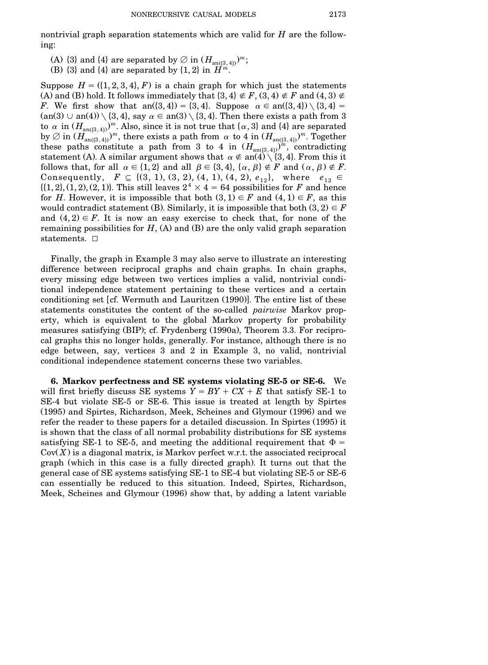nontrivial graph separation statements which are valid for *H* are the following:

- (A)  $\{3\}$  and  $\{4\}$  are separated by  $\emptyset$  in  $(H_{\text{an}(\{3,4\})})^m$ ;
- (B)  $\{3\}$  and  $\{4\}$  are separated by  $\{1, 2\}$  in  $\hat{H}^n$

Suppose  $H = (\{1, 2, 3, 4\}, F)$  is a chain graph for which just the statements (A) and (B) hold. It follows immediately that  $\{3,4\} \notin F$ ,  $(3,4) \notin F$  and  $(4,3) \notin F$ *F*. We first show that an $(\{3,4\}) = \{3,4\}$ . Suppose  $\alpha \in \text{an}(\{3,4\}) \setminus \{3,4\} =$  $\text{(an(3)} \cup \text{an(4)}) \setminus \{3,4\}$ , say  $\alpha \in \text{an(3)} \setminus \{3,4\}$ . Then there exists a path from 3 to  $\alpha$  in  $(H_{\text{an}(\{3,4\})})^m$ . Also, since it is not true that  $\{\alpha,3\}$  and  $\{4\}$  are separated by  $\varnothing$  in  $(H_{\text{an}(\{3,4\})})^m$ , there exists a path from  $\alpha$  to 4 in  $(H_{\text{an}(\{3,4\})})^m$ . Together these paths constitute a path from 3 to 4 in  $(H_{\text{an}((3,4))})^{\hat{i}\hat{i}},$  contradicting statement (A). A similar argument shows that  $\alpha \notin \text{an}(4) \setminus \{3,4\}$ . From this it follows that, for all  $\alpha \in \{1,2\}$  and all  $\beta \in \{3,4\}$ ,  $\{\alpha,\beta\} \notin F$  and  $(\alpha,\beta) \notin F$ . Consequently,  $F \subseteq \{(3, 1), (3, 2), (4, 1), (4, 2), e_{12}\},\$  where  $e_{12} \in$  $\{(1, 2), (1, 2), (2, 1)\}\$ . This still leaves  $2^4 \times 4 = 64$  possibilities for *F* and hence for *H*. However, it is impossible that both  $(3,1) \in F$  and  $(4,1) \in F$ , as this would contradict statement (B). Similarly, it is impossible that both  $(3,2) \in F$ and  $(4,2) \in F$ . It is now an easy exercise to check that, for none of the remaining possibilities for  $H$ ,  $(A)$  and  $(B)$  are the only valid graph separation statements.  $\square$ 

Finally, the graph in Example 3 may also serve to illustrate an interesting difference between reciprocal graphs and chain graphs. In chain graphs, every missing edge between two vertices implies a valid, nontrivial conditional independence statement pertaining to these vertices and a certain conditioning set [cf. Wermuth and Lauritzen  $(1990)$ ]. The entire list of these statements constitutes the content of the so-called *pairwise* Markov property, which is equivalent to the global Markov property for probability measures satisfying (BIP); cf. Frydenberg (1990a), Theorem 3.3. For reciprocal graphs this no longer holds, generally. For instance, although there is no edge between, say, vertices 3 and 2 in Example 3, no valid, nontrivial conditional independence statement concerns these two variables.

**6. Markov perfectness and SE systems violating SE-5 or SE-6.** We will first briefly discuss SE systems  $Y = BY + CX + E$  that satisfy SE-1 to SE-4 but violate SE-5 or SE-6. This issue is treated at length by Spirtes (1995) and Spirtes, Richardson, Meek, Scheines and Glymour (1996) and we refer the reader to these papers for a detailed discussion. In Spirtes (1995) it is shown that the class of all normal probability distributions for SE systems satisfying SE-1 to SE-5, and meeting the additional requirement that  $\Phi =$  $Cov(X)$  is a diagonal matrix, is Markov perfect w.r.t. the associated reciprocal graph (which in this case is a fully directed graph). It turns out that the general case of SE systems satisfying SE-1 to SE-4 but violating SE-5 or SE-6 can essentially be reduced to this situation. Indeed, Spirtes, Richardson, Meek, Scheines and Glymour (1996) show that, by adding a latent variable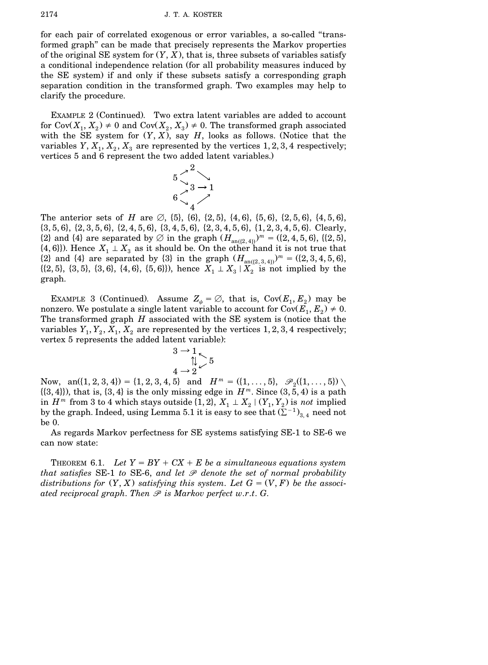for each pair of correlated exogenous or error variables, a so-called ''transformed graph'' can be made that precisely represents the Markov properties of the original SE system for  $(Y, X)$ , that is, three subsets of variables satisfy a conditional independence relation (for all probability measures induced by the SE system) if and only if these subsets satisfy a corresponding graph separation condition in the transformed graph. Two examples may help to clarify the procedure.

EXAMPLE 2 (Continued). Two extra latent variables are added to account for  $Cov(X_1, X_2) \neq 0$  and  $Cov(X_2, X_3) \neq 0$ . The transformed graph associated with the SE system for  $(Y, X)$ , say  $H$ , looks as follows. (Notice that the variables  $Y, X_1, X_2, X_3$  are represented by the vertices 1, 2, 3, 4 respectively; vertices 5 and 6 represent the two added latent variables.)



The anterior sets of *H* are  $\emptyset$ ,  $\{5\}$ ,  $\{6\}$ ,  $\{2,5\}$ ,  $\{4,6\}$ ,  $\{5,6\}$ ,  $\{2,5,6\}$ ,  $\{4,5,6\}$ ,  $\{3, 5, 6\}, \{2, 3, 5, 6\}, \{2, 4, 5, 6\}, \{3, 4, 5, 6\}, \{2, 3, 4, 5, 6\}, \{1, 2, 3, 4, 5, 6\}.$  Clearly, {2} and {4} are separated by  $\emptyset$  in the graph  $(H_{\text{an}((2,4))})^m = ((2,4,5,6), ((2,5),$  $\{(4,6)\}\)$ . Hence  $X_1 \perp X_3$  as it should be. On the other hand it is not true that  ${2}$  and  ${4}$  are separated by  ${3}$  in the graph  $(H_{\text{an}({2,3,4})})^m = ({2,3,4,5,6})$ ,  $\{(2, 5), (3, 5), (3, 6), (4, 6), (5, 6)\}\)$ , hence  $X_1 \perp X_3 \mid X_2$  is not implied by the graph.

EXAMPLE 3 (Continued). Assume  $Z_{\psi} = \emptyset$ , that is, Cov $(E_1, E_2)$  may be nonzero. We postulate a single latent variable to account for  $Cov(E_1, E_2) \neq 0$ . The transformed graph  $H$  associated with the SE system is (notice that the variables  $Y_1, Y_2, X_1, X_2$  are represented by the vertices 1, 2, 3, 4 respectively; vertex 5 represents the added latent variable):

$$
3 \rightarrow 1 \atop 4 \rightarrow 2 \checkmark 5
$$

Now,  $an(\{1, 2, 3, 4\}) = \{1, 2, 3, 4, 5\}$  and  $H^m = (\{1, ..., 5\}, \mathscr{P}_2(\{1, ..., 5\})$  $\{(3,4)\}\)$ , that is,  $\{3,4\}$  is the only missing edge in  $H^m$ . Since  $(3,5,4)$  is a path  $m \text{ from } 3 \text{ to } 4 \text{ which stays outside } \{1, 2\}, X_1 \perp X_2 \mid (Y_1, Y_2) \text{ is } \textit{not } \text{ implied}$ by the graph. Indeed, using Lemma 5.1 it is easy to see that  $(\Sigma^{-1})_{3,4}$  need not be 0.

As regards Markov perfectness for SE systems satisfying SE-1 to SE-6 we can now state:

THEOREM 6.1. Let  $Y = BY + CX + E$  be a simultaneous equations system *that satisfies* SE-1 *to* SE-6, *and let P denote the set of normal probability distributions* for  $(Y, X)$  *satisfying this system. Let*  $G = (V, F)$  *be the associated reciprocal graph*. *Then P is Markov perfect w*.*r*.*t*. *G*.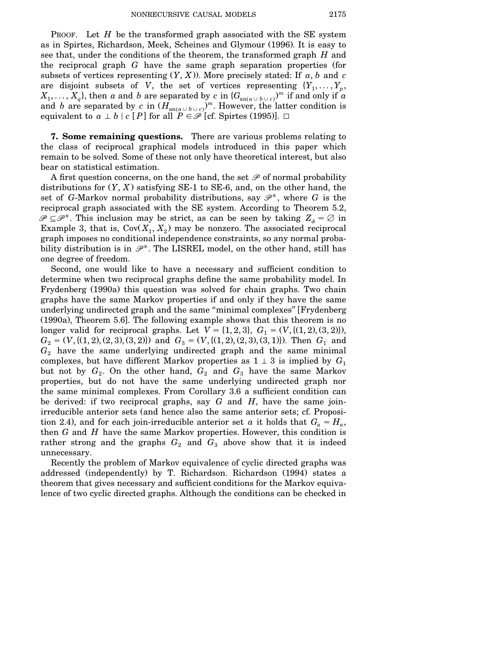PROOF. Let *H* be the transformed graph associated with the SE system as in Spirtes, Richardson, Meek, Scheines and Glymour (1996). It is easy to see that, under the conditions of the theorem, the transformed graph *H* and the reciprocal graph *G* have the same graph separation properties (for subsets of vertices representing  $(Y, X)$ ). More precisely stated: If  $a, b$  and  $c$ are disjoint subsets of *V*, the set of vertices representing  $\{Y_1, \ldots, Y_p, \ldots\}$  $X_1,\ldots,X_q\},$  then  $a$  and  $b$  are separated by  $c$  in  $\{G_{\text{an}(a\cup b\cup c)}\}^m$  if and only if  $a$ and *b* are separated by *c* in  $(H_{\text{an}(a \cup b \cup c)})^m$ . However, the latter condition is equivalent to  $a \perp b \mid c \mid P$  for all  $P \in \mathcal{P}$  [cf. Spirtes (1995)].  $\Box$ 

**7. Some remaining questions.** There are various problems relating to the class of reciprocal graphical models introduced in this paper which remain to be solved. Some of these not only have theoretical interest, but also bear on statistical estimation.

A first question concerns, on the one hand, the set *P* of normal probability distributions for  $(Y, X)$  satisfying SE-1 to SE-6, and, on the other hand, the set of *G*-Markov normal probability distributions, say  $\mathscr{P}^*$ , where *G* is the reciprocal graph associated with the SE system. According to Theorem 5.2,  $\mathscr{P} \subseteq \mathscr{P}^*$ . This inclusion may be strict, as can be seen by taking  $Z_{\phi} = \emptyset$  in Example 3, that is,  $Cov(X_1, X_2)$  may be nonzero. The associated reciprocal graph imposes no conditional independence constraints, so any normal probability distribution is in  $\mathcal{P}^*$ . The LISREL model, on the other hand, still has one degree of freedom.

Second, one would like to have a necessary and sufficient condition to determine when two reciprocal graphs define the same probability model. In Frydenberg (1990a) this question was solved for chain graphs. Two chain graphs have the same Markov properties if and only if they have the same underlying undirected graph and the same "minimal complexes" [Frydenberg]  $(1990a)$ , Theorem 5.6]. The following example shows that this theorem is no longer valid for reciprocal graphs. Let  $V = \{1, 2, 3\}$ ,  $G_1 = (V, \{(1, 2), (3, 2)\})$ ,  $G_2 = (V, \{(1, 2), (2, 3), (3, 2)\})$  and  $G_3 = (V, \{(1, 2), (2, 3), (3, 1)\})$ . Then  $G_1$  and  $G_2$  have the same underlying undirected graph and the same minimal complexes, but have different Markov properties as  $1 \perp 3$  is implied by  $G_1$ but not by  $G_2$ . On the other hand,  $G_2$  and  $G_3$  have the same Markov properties, but do not have the same underlying undirected graph nor the same minimal complexes. From Corollary 3.6 a sufficient condition can be derived: if two reciprocal graphs, say *G* and *H*, have the same joinirreducible anterior sets (and hence also the same anterior sets; cf. Proposition 2.4), and for each join-irreducible anterior set *a* it holds that  $G_a = H_a$ , then *G* and *H* have the same Markov properties. However, this condition is rather strong and the graphs  $G_2$  and  $G_3$  above show that it is indeed unnecessary.

Recently the problem of Markov equivalence of cyclic directed graphs was addressed (independently) by T. Richardson. Richardson (1994) states a theorem that gives necessary and sufficient conditions for the Markov equivalence of two cyclic directed graphs. Although the conditions can be checked in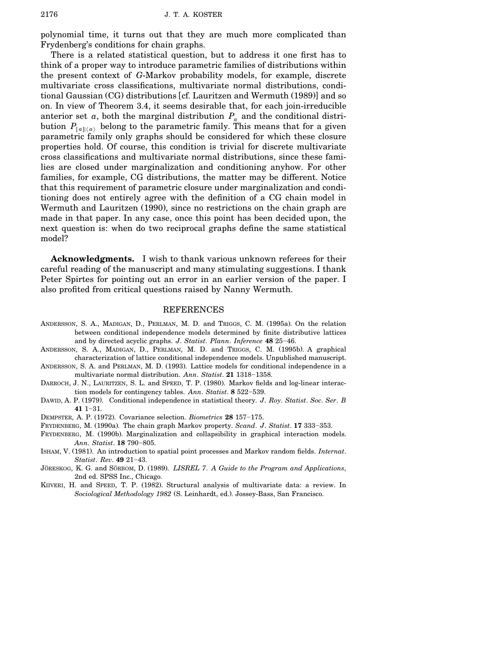polynomial time, it turns out that they are much more complicated than Frydenberg's conditions for chain graphs.

There is a related statistical question, but to address it one first has to think of a proper way to introduce parametric families of distributions within the present context of *G*-Markov probability models, for example, discrete multivariate cross classifications, multivariate normal distributions, conditional Gaussian (CG) distributions [cf. Lauritzen and Wermuth (1989)] and so on. In view of Theorem 3.4, it seems desirable that, for each join-irreducible anterior set *a*, both the marginal distribution  $P_a$  and the conditional distribution  $P_{[a]|\langle a \rangle}$  belong to the parametric family. This means that for a given parametric family only graphs should be considered for which these closure properties hold. Of course, this condition is trivial for discrete multivariate cross classifications and multivariate normal distributions, since these families are closed under marginalization and conditioning anyhow. For other families, for example, CG distributions, the matter may be different. Notice that this requirement of parametric closure under marginalization and conditioning does not entirely agree with the definition of a CG chain model in Wermuth and Lauritzen (1990), since no restrictions on the chain graph are made in that paper. In any case, once this point has been decided upon, the next question is: when do two reciprocal graphs define the same statistical model?

**Acknowledgments.** I wish to thank various unknown referees for their careful reading of the manuscript and many stimulating suggestions. I thank Peter Spirtes for pointing out an error in an earlier version of the paper. I also profited from critical questions raised by Nanny Wermuth.

#### REFERENCES

- ANDERSSON, S. A., MADIGAN, D., PERLMAN, M. D. and TRIGGS, C. M. (1995a). On the relation between conditional independence models determined by finite distributive lattices and by directed acyclic graphs. *J. Statist. Plann. Inference* 48 25-46.
- ANDERSSON, S. A., MADIGAN, D., PERLMAN, M. D. and TRIGGS, C. M. (1995b). A graphical characterization of lattice conditional independence models. Unpublished manuscript.
- ANDERSSON, S. A. and PERLMAN, M. D. (1993). Lattice models for conditional independence in a multivariate normal distribution. *Ann. Statist*. 21 1318-1358.
- DARROCH, J. N., LAURITZEN, S. L. and SPEED, T. P. (1980). Markov fields and log-linear interaction models for contingency tables. *Ann. Statist*. **8** 522-539.
- DAWID, A. P. (1979). Conditional independence in statistical theory. *J. Roy. Statist. Soc. Ser. B*  $41$  1–31.

DEMPSTER, A. P. (1972). Covariance selection. *Biometrics* 28 157-175.

- FRYDENBERG, M. (1990a). The chain graph Markov property. *Scand. J. Statist*. 17 333-353.
- FRYDENBERG, M. (1990b). Marginalization and collapsibility in graphical interaction models. *Ann. Statist.* **18** 790-805.
- ISHAM, V. (1981). An introduction to spatial point processes and Markov random fields. *Internat*. *Statist. Rev.* 49 21-43.
- JORESKOG ¨ , K. G. and SORBOM ¨ , D. Ž1989.. *LISREL 7*. *A Guide to the Program and Applications*, 2nd ed. SPSS Inc., Chicago.
- KIIVERI, H. and SPEED, T. P. (1982). Structural analysis of multivariate data: a review. In *Sociological Methodology* 1982 (S. Leinhardt, ed.). Jossey-Bass, San Francisco.